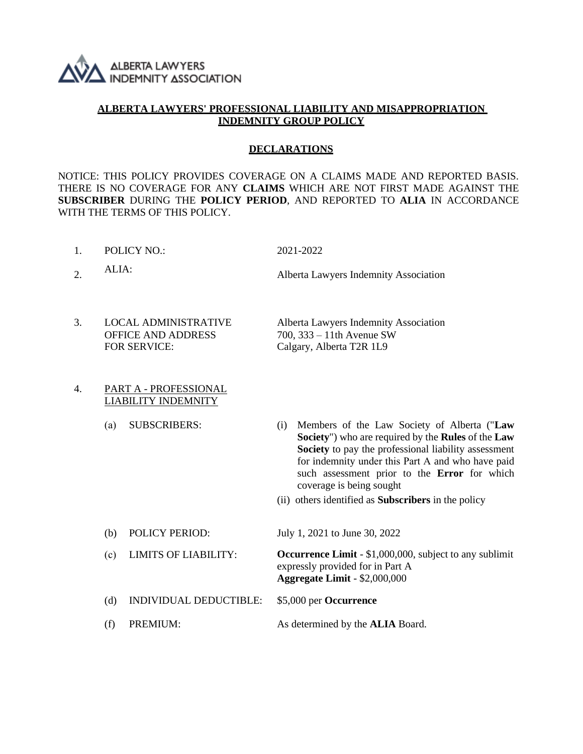

## **ALBERTA LAWYERS' PROFESSIONAL LIABILITY AND MISAPPROPRIATION INDEMNITY GROUP POLICY**

#### **DECLARATIONS**

NOTICE: THIS POLICY PROVIDES COVERAGE ON A CLAIMS MADE AND REPORTED BASIS. THERE IS NO COVERAGE FOR ANY **CLAIMS** WHICH ARE NOT FIRST MADE AGAINST THE **SUBSCRIBER** DURING THE **POLICY PERIOD**, AND REPORTED TO **ALIA** IN ACCORDANCE WITH THE TERMS OF THIS POLICY.

- 1. POLICY NO.: 2021-2022
	-
- 2. ALIA: Alberta Lawyers Indemnity Association
- 3. LOCAL ADMINISTRATIVE Alberta Lawyers Indemnity Association OFFICE AND ADDRESS 700, 333 – 11th Avenue SW FOR SERVICE: Calgary, Alberta T2R 1L9
- 4. PART A PROFESSIONAL LIABILITY INDEMNITY
	-
	- (а) SUBSCRIBERS: (i) Members of the Law Society of Alberta ("**Law Society**") who are required by the **Rules** of the **Law Society** to pay the professional liability assessment for indemnity under this Part А and who have paid such assessment prior to the **Error** for which coverage is being sought
		- (ii) others identified as **Subscribers** in the policy
	- (b) POLICY PERIOD: July 1, 2021 to June 30, 2022 (с) LIMITS OF LIABILITY: **Occurrence Limit** - \$1,000,000, subject to any sublimit

expressly provided for in Part A **Aggregate Limit** - \$2,000,000

- (d) INDIVIDUAL DEDUCTIBLE: \$5,000 per **Occurrence**
- (f) PREMIUM: As determined by the **ALIA** Board.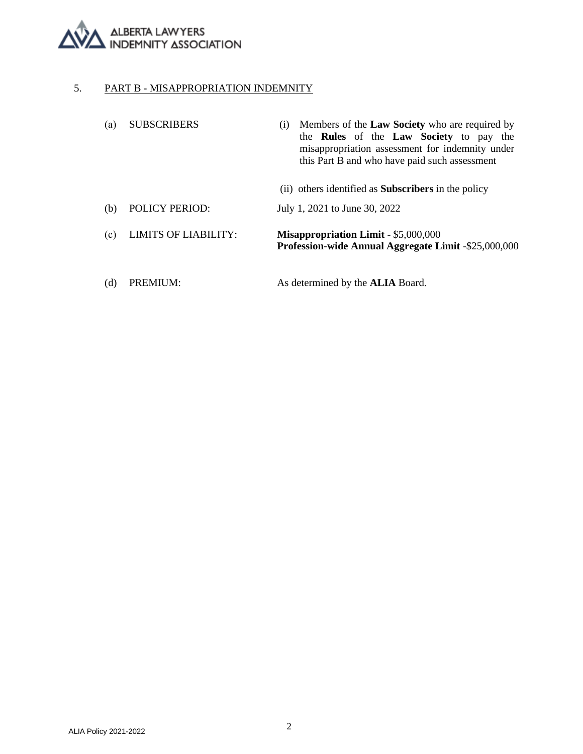

## 5. PART B - MISAPPROPRIATION INDEMNITY

| (a) | <b>SUBSCRIBERS</b>          | Members of the Law Society who are required by<br>(1)<br>the <b>Rules</b> of the <b>Law Society</b> to pay the<br>misappropriation assessment for indemnity under<br>this Part B and who have paid such assessment |
|-----|-----------------------------|--------------------------------------------------------------------------------------------------------------------------------------------------------------------------------------------------------------------|
|     |                             | (ii) others identified as <b>Subscribers</b> in the policy                                                                                                                                                         |
| (b) | <b>POLICY PERIOD:</b>       | July 1, 2021 to June 30, 2022                                                                                                                                                                                      |
| (c) | <b>LIMITS OF LIABILITY:</b> | <b>Misappropriation Limit - \$5,000,000</b><br><b>Profession-wide Annual Aggregate Limit -\$25,000,000</b>                                                                                                         |
| (d) | PREMIUM:                    | As determined by the <b>ALIA</b> Board.                                                                                                                                                                            |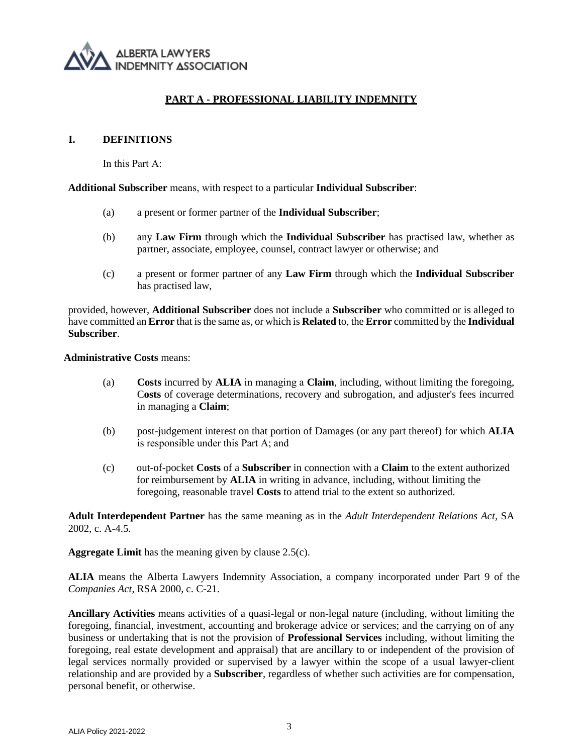

## **PART A - PROFESSIONAL LIABILITY INDEMNITY**

#### **I. DEFINITIONS**

In this Part А:

**Additional Subscriber** means, with respect to а particular **Individual Subscriber**:

- (a) a present or former partner of the **Individual Subscriber**;
- (b) any **Law Firm** through which the **Individual Subscriber** has practised law, whether as partner, associate, employee, counsel, contract lawyer or otherwise; and
- (c) a present or former partner of any **Law Firm** through which the **Individual Subscriber** has practised law,

provided, however, **Additional Subscriber** does not include a **Subscriber** who committed or is alleged to have committed an **Error** that is the same as, or which is **Related** to, the **Error** committed by the **Individual Subscriber**.

**Administrative Costs** means:

- (a) **Costs** incurred by **ALIA** in managing а **Claim**, including, without limiting the foregoing, C**osts** of coverage determinations, recovery and subrogation, and adjuster's fees incurred in managing a **Claim**;
- (b) post-judgement interest on that portion of Damages (or any part thereof) for which **ALIA** is responsible under this Part А; and
- (c) out-of-pocket **Costs** of a **Subscriber** in connection with a **Claim** to the extent authorized for reimbursement by **ALIA** in writing in advance, including, without limiting the foregoing, reasonable travel **Costs** to attend trial to the extent so authorized.

**Adult Interdependent Partner** has the same meaning as in the *Adult Interdependent Relations Act*, SA 2002, c. A-4.5.

**Aggregate Limit** has the meaning given by clause 2.5(c).

**ALIA** means the Alberta Lawyers Indemnity Association, a company incorporated under Part 9 of the *Companies Act*, RSA 2000, c. C-21.

**Ancillary Activities** means activities of a quasi-legal or non-legal nature (including, without limiting the foregoing, financial, investment, accounting and brokerage advice or services; and the carrying on of any business or undertaking that is not the provision of **Professional Services** including, without limiting the foregoing, real estate development and appraisal) that are ancillary to or independent of the provision of legal services normally provided or supervised by a lawyer within the scope of a usual lawyer-client relationship and are provided by a **Subscriber**, regardless of whether such activities are for compensation, personal benefit, or otherwise.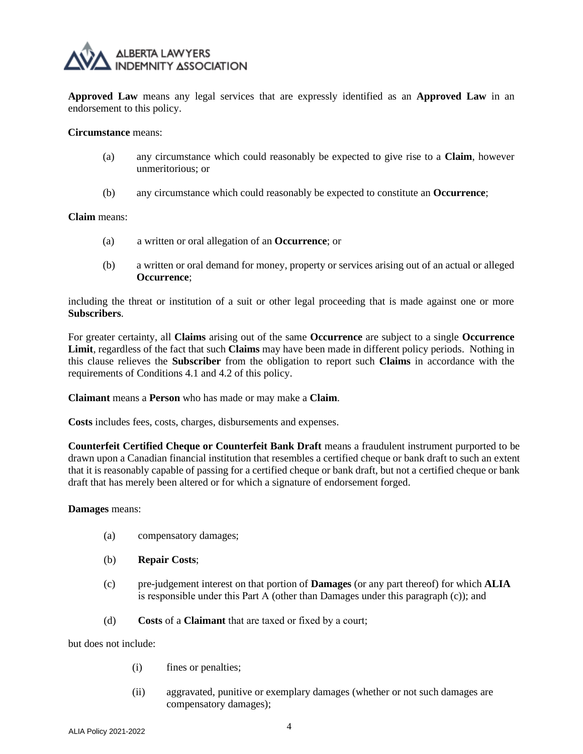

**Approved Law** means any legal services that are expressly identified as an **Approved Law** in an endorsement to this policy.

#### **Circumstance** means:

- (a) any circumstance which could reasonably be expected to give rise to a **Claim**, however unmeritorious; or
- (b) any circumstance which could reasonably be expected to constitute an **Occurrence**;

#### **Claim** means:

- (a) a written or oral allegation of an **Occurrence**; or
- (b) a written or oral demand for money, property or services arising out of an actual or alleged **Occurrence**;

including the threat or institution of a suit or other legal proceeding that is made against one or more **Subscribers**.

For greater certainty, all **Claims** arising out of the same **Occurrence** are subject to a single **Occurrence Limit**, regardless of the fact that such **Claims** may have been made in different policy periods. Nothing in this clause relieves the **Subscriber** from the obligation to report such **Claims** in accordance with the requirements of Conditions [4.1](#page-16-0) and 4.2 of this policy.

**Claimant** means a **Person** who has made or may make a **Claim**.

**Costs** includes fees, costs, charges, disbursements and expenses.

**Counterfeit Certified Cheque or Counterfeit Bank Draft** means a fraudulent instrument purported to be drawn upon a Canadian financial institution that resembles a certified cheque or bank draft to such an extent that it is reasonably capable of passing for a certified cheque or bank draft, but not a certified cheque or bank draft that has merely been altered or for which a signature of endorsement forged.

#### **Damages** means:

- (a) compensatory damages;
- (b) **Repair Costs**;
- (c) pre-judgement interest on that portion of **Damages** (or any part thereof) for which **ALIA** is responsible under this Part А (other than Damages under this paragraph (c)); and
- (d) **Costs** of a **Claimant** that are taxed or fixed by а court;

but does not include:

- (i) fines or penalties;
- (ii) aggravated, punitive or exemplary damages (whether or not such damages are compensatory damages);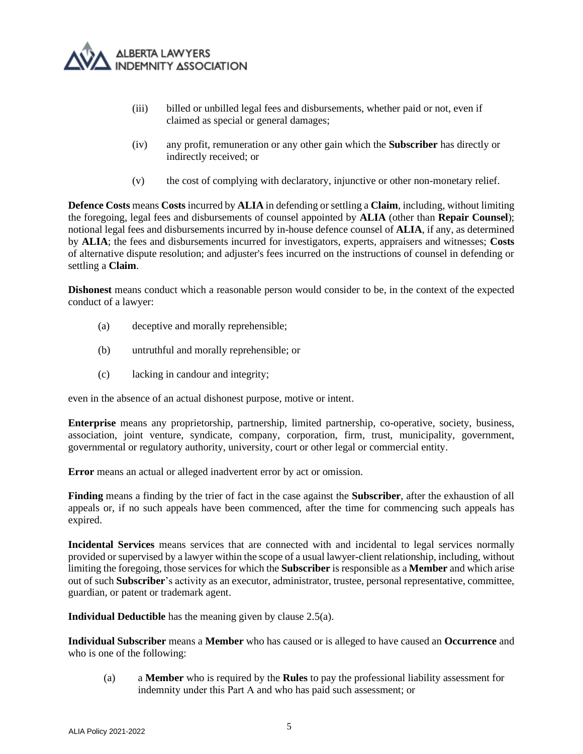

- (iii) billed or unbilled legal fees and disbursements, whether paid or not, even if claimed as special or general damages;
- (iv) any profit, remuneration or any other gain which the **Subscriber** has directly or indirectly received; or
- (v) the cost of complying with declaratory, injunctive or other non-monetary relief.

**Defence Costs** means **Costs** incurred by **ALIA** in defending or settling a **Claim**, including, without limiting the foregoing, legal fees and disbursements of counsel appointed by **ALIA** (other than **Repair Counsel**); notional legal fees and disbursements incurred by in-house defence counsel of **ALIA**, if any, as determined by **ALIA**; the fees and disbursements incurred for investigators, experts, appraisers and witnesses; **Costs**  of alternative dispute resolution; and adjuster's fees incurred on the instructions of counsel in defending or settling a **Claim**.

**Dishonest** means conduct which a reasonable person would consider to be, in the context of the expected conduct of a lawyer:

- (a) deceptive and morally reprehensible;
- (b) untruthful and morally reprehensible; or
- (c) lacking in candour and integrity;

even in the absence of an actual dishonest purpose, motive or intent.

**Enterprise** means any proprietorship, partnership, limited partnership, co-operative, society, business, association, joint venture, syndicate, company, corporation, firm, trust, municipality, government, governmental or regulatory authority, university, court or other legal or commercial entity.

**Error** means an actual or alleged inadvertent error by act or omission.

**Finding** means a finding by the trier of fact in the case against the **Subscriber**, after the exhaustion of all appeals or, if no such appeals have been commenced, after the time for commencing such appeals has expired.

**Incidental Services** means services that are connected with and incidental to legal services normally provided or supervised by a lawyer within the scope of a usual lawyer-client relationship, including, without limiting the foregoing, those services for which the **Subscriber** is responsible as a **Member** and which arise out of such **Subscriber**'s activity as an executor, administrator, trustee, personal representative, committee, guardian, or patent or trademark agent.

**Individual Deductible** has the meaning given by clause 2.5(a).

**Individual Subscriber** means a **Member** who has caused or is alleged to have caused an **Occurrence** and who is one of the following:

(a) a **Member** who is required by the **Rules** to pay the professional liability assessment for indemnity under this Part А and who has paid such assessment; or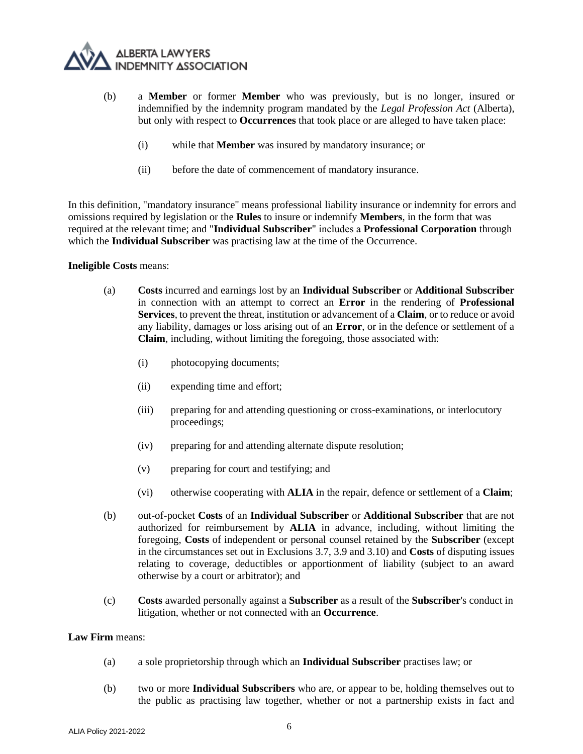

- (b) a **Member** or former **Member** who was previously, but is no longer, insured or indemnified by the indemnity program mandated by the *Legal Profession Act* (Alberta), but only with respect to **Occurrences** that took place or are alleged to have taken place:
	- (i) while that **Member** was insured by mandatory insurance; or
	- (ii) before the date of commencement of mandatory insurance.

In this definition, "mandatory insurance" means professional liability insurance or indemnity for errors and omissions required by legislation or the **Rules** to insure or indemnify **Members**, in the form that was required at the relevant time; and "**Individual Subscriber**" includes а **Professional Corporation** through which the **Individual Subscriber** was practising law at the time of the Occurrence.

#### **Ineligible Costs** means:

- (a) **Costs** incurred and earnings lost by an **Individual Subscriber** or **Additional Subscriber** in connection with an attempt to correct an **Error** in the rendering of **Professional Services**, to prevent the threat, institution or advancement of a **Claim**, or to reduce or avoid any liability, damages or loss arising out of an **Error**, or in the defence or settlement of a **Claim**, including, without limiting the foregoing, those associated with:
	- (i) photocopying documents;
	- (ii) expending time and effort;
	- (iii) preparing for and attending questioning or cross-examinations, or interlocutory proceedings;
	- (iv) preparing for and attending alternate dispute resolution;
	- (v) preparing for court and testifying; and
	- (vi) otherwise cooperating with **ALIA** in the repair, defence or settlement of a **Claim**;
- (b) out-of-pocket **Costs** of an **Individual Subscriber** or **Additional Subscriber** that are not authorized for reimbursement by **ALIA** in advance, including, without limiting the foregoing, **Costs** of independent or personal counsel retained by the **Subscriber** (except in the circumstances set out in Exclusions 3.7, 3.9 and 3.10) and **Costs** of disputing issues relating to coverage, deductibles or apportionment of liability (subject to an award otherwise by a court or arbitrator); and
- (c) **Costs** awarded personally against a **Subscriber** as a result of the **Subscriber**'s conduct in litigation, whether or not connected with an **Occurrence**.

#### **Law Firm** means:

- (a) a sole proprietorship through which an **Individual Subscriber** practises law; or
- (b) two or more **Individual Subscribers** who are, or appear to be, holding themselves out to the public as practising law together, whether or not a partnership exists in fact and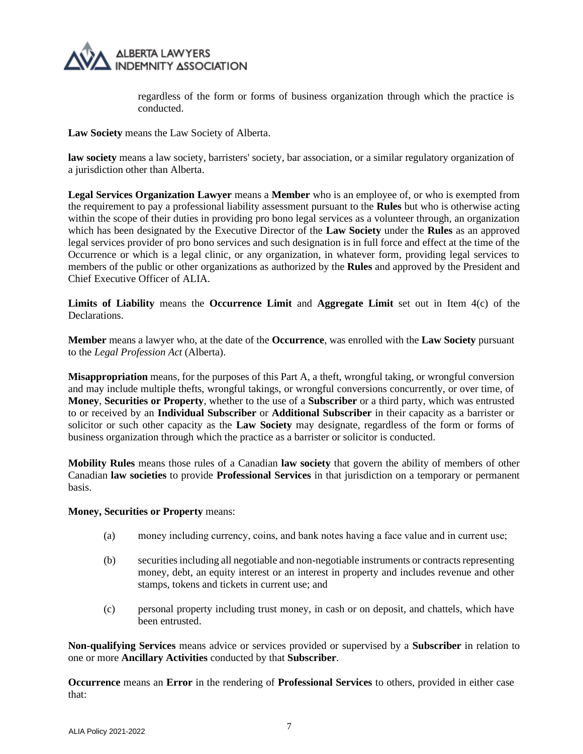

regardless of the form or forms of business organization through which the practice is conducted.

**Law Society** means the Law Society of Alberta.

**law society** means a law society, barristers' society, bar association, or a similar regulatory organization of a jurisdiction other than Alberta.

**Legal Services Organization Lawyer** means a **Member** who is an employee of, or who is exempted from the requirement to pay a professional liability assessment pursuant to the **Rules** but who is otherwise acting within the scope of their duties in providing pro bono legal services as a volunteer through, an organization which has been designated by the Executive Director of the **Law Society** under the **Rules** as an approved legal services provider of pro bono services and such designation is in full force and effect at the time of the Occurrence or which is a legal clinic, or any organization, in whatever form, providing legal services to members of the public or other organizations as authorized by the **Rules** and approved by the President and Chief Executive Officer of ALIA.

**Limits of Liability** means the **Occurrence Limit** and **Aggregate Limit** set out in Item 4(c) of the Declarations.

**Member** means a lawyer who, at the date of the **Occurrence**, was enrolled with the **Law Society** pursuant to the *Legal Profession Act* (Alberta).

**Misappropriation** means, for the purposes of this Part A, a theft, wrongful taking, or wrongful conversion and may include multiple thefts, wrongful takings, or wrongful conversions concurrently, or over time, of **Money**, **Securities or Property**, whether to the use of a **Subscriber** or a third party, which was entrusted to or received by an **Individual Subscriber** or **Additional Subscriber** in their capacity as a barrister or solicitor or such other capacity as the **Law Society** may designate, regardless of the form or forms of business organization through which the practice as a barrister or solicitor is conducted.

**Mobility Rules** means those rules of a Canadian **law society** that govern the ability of members of other Canadian **law societies** to provide **Professional Services** in that jurisdiction on a temporary or permanent basis.

#### **Money, Securities or Property** means:

- (a) money including currency, coins, and bank notes having а face value and in current use;
- (b) securities including all negotiable and non-negotiable instruments or contracts representing money, debt, an equity interest or an interest in property and includes revenue and other stamps, tokens and tickets in current use; and
- (c) personal property including trust money, in cash or on deposit, and chattels, which have been entrusted.

**Non-qualifying Services** means advice or services provided or supervised by a **Subscriber** in relation to one or more **Ancillary Activities** conducted by that **Subscriber**.

**Occurrence** means an **Error** in the rendering of **Professional Services** to others, provided in either case that: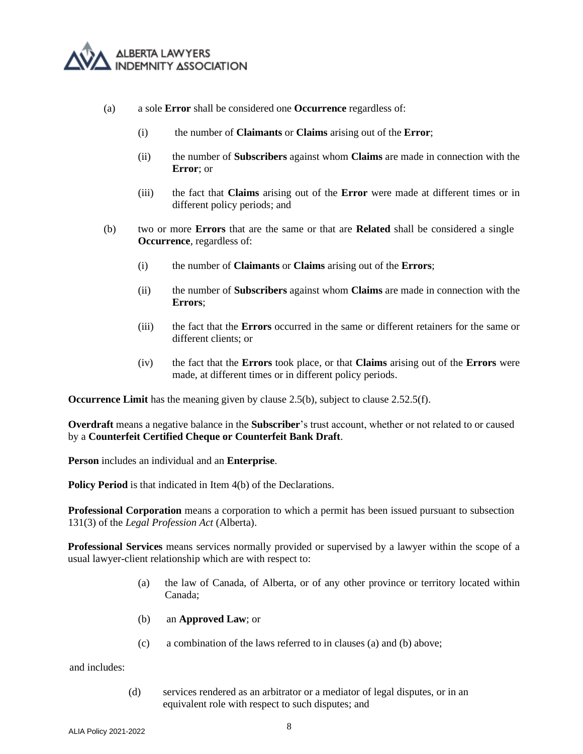

- (a) a sole **Error** shall be considered one **Occurrence** regardless of:
	- (i) the number of **Claimants** or **Claims** arising out of the **Error**;
	- (ii) the number of **Subscribers** against whom **Claims** are made in connection with the **Error**; or
	- (iii) the fact that **Claims** arising out of the **Error** were made at different times or in different policy periods; and
- (b) two or more **Errors** that are the same or that are **Related** shall be considered a single **Occurrence**, regardless of:
	- (i) the number of **Claimants** or **Claims** arising out of the **Errors**;
	- (ii) the number of **Subscribers** against whom **Claims** are made in connection with the **Errors**;
	- (iii) the fact that the **Errors** occurred in the same or different retainers for the same or different clients; or
	- (iv) the fact that the **Errors** took place, or that **Claims** arising out of the **Errors** were made, at different times or in different policy periods.

**Occurrence Limit** has the meaning given by claus[e 2.5\(b\),](#page-12-0) subject to clause [2.5](#page-11-0)[2.5\(f\).](#page-12-1)

**Overdraft** means a negative balance in the **Subscriber**'s trust account, whether or not related to or caused by a **Counterfeit Certified Cheque or Counterfeit Bank Draft**.

**Person** includes an individual and an **Enterprise**.

**Policy Period** is that indicated in Item 4(b) of the Declarations.

**Professional Corporation** means a corporation to which a permit has been issued pursuant to subsection 131(3) of the *Legal Profession Act* (Alberta).

**Professional Services** means services normally provided or supervised by a lawyer within the scope of a usual lawyer-client relationship which are with respect to:

- (a) the law of Canada, of Alberta, or of any other province or territory located within Canada;
- (b) an **Approved Law**; or
- (c) a combination of the laws referred to in clauses (a) and (b) above;

and includes:

(d) services rendered as an arbitrator or a mediator of legal disputes, or in an equivalent role with respect to such disputes; and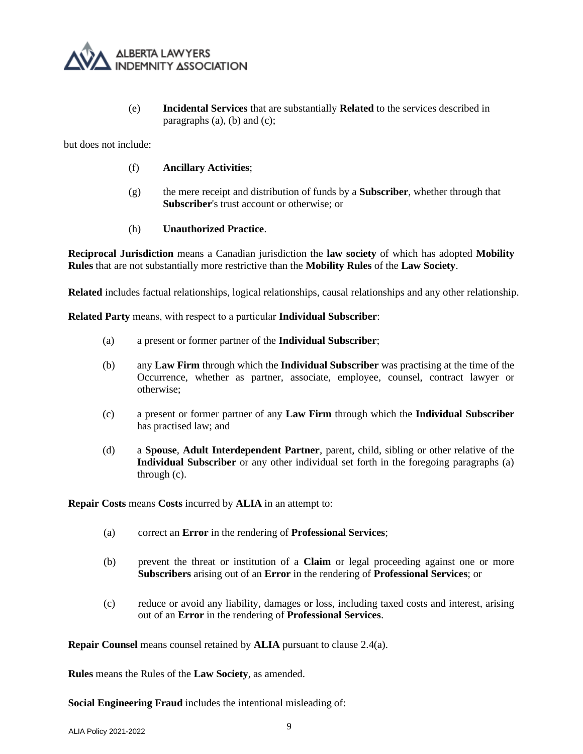

(e) **Incidental Services** that are substantially **Related** to the services described in paragraphs  $(a)$ ,  $(b)$  and  $(c)$ ;

but does not include:

- (f) **Ancillary Activities**;
- (g) the mere receipt and distribution of funds by a **Subscriber**, whether through that **Subscriber**'s trust account or otherwise; or

#### (h) **Unauthorized Practice**.

**Reciprocal Jurisdiction** means a Canadian jurisdiction the **law society** of which has adopted **Mobility Rules** that are not substantially more restrictive than the **Mobility Rules** of the **Law Society**.

**Related** includes factual relationships, logical relationships, causal relationships and any other relationship.

**Related Party** means, with respect to а particular **Individual Subscriber**:

- (a) a present or former partner of the **Individual Subscriber**;
- (b) any **Law Firm** through which the **Individual Subscriber** was practising at the time of the Occurrence, whether as partner, associate, employee, counsel, contract lawyer or otherwise;
- (c) a present or former partner of any **Law Firm** through which the **Individual Subscriber** has practised law; and
- (d) a **Spouse**, **Adult Interdependent Partner**, parent, child, sibling or other relative of the **Individual Subscriber** or any other individual set forth in the foregoing paragraphs (a) through (c).

**Repair Costs** means **Costs** incurred by **ALIA** in an attempt to:

- (a) correct an **Error** in the rendering of **Professional Services**;
- (b) prevent the threat or institution of a **Claim** or legal proceeding against one or more **Subscribers** arising out of an **Error** in the rendering of **Professional Services**; or
- (c) reduce or avoid any liability, damages or loss, including taxed costs and interest, arising out of an **Error** in the rendering of **Professional Services**.

**Repair Counsel** means counsel retained by **ALIA** pursuant to clause [2.4\(a\).](#page-11-1)

**Rules** means the Rules of the **Law Society**, as amended.

**Social Engineering Fraud** includes the intentional misleading of: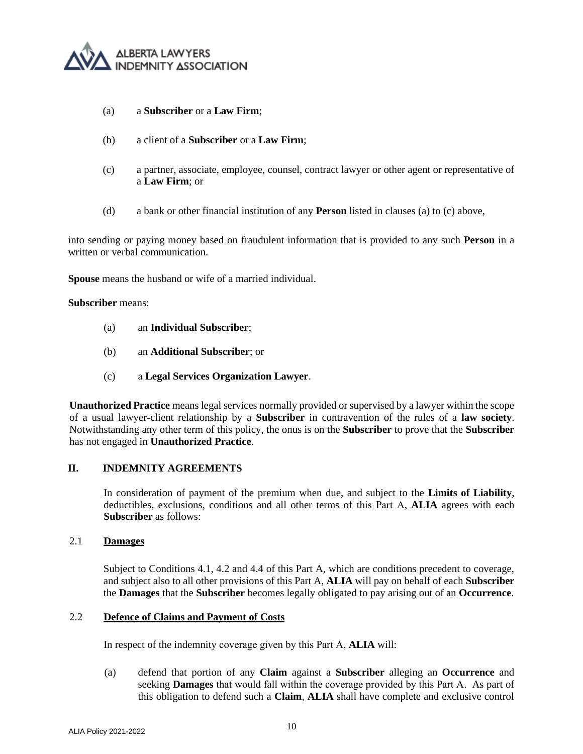

- <span id="page-9-0"></span>(a) a **Subscriber** or a **Law Firm**;
- (b) a client of a **Subscriber** or a **Law Firm**;
- <span id="page-9-1"></span>(c) a partner, associate, employee, counsel, contract lawyer or other agent or representative of a **Law Firm**; or
- (d) a bank or other financial institution of any **Person** listed in clauses [\(a\)](#page-9-0) to [\(c\)](#page-9-1) above,

into sending or paying money based on fraudulent information that is provided to any such **Person** in a written or verbal communication.

**Spouse** means the husband or wife of a married individual.

#### **Subscriber** means:

- (a) an **Individual Subscriber**;
- (b) an **Additional Subscriber**; or
- (c) а **Legal Services Organization Lawyer**.

**Unauthorized Practice** means legal services normally provided or supervised by a lawyer within the scope of a usual lawyer-client relationship by a **Subscriber** in contravention of the rules of a **law society**. Notwithstanding any other term of this policy, the onus is on the **Subscriber** to prove that the **Subscriber** has not engaged in **Unauthorized Practice**.

## **II. INDEMNITY AGREEMENTS**

In consideration of payment of the premium when due, and subject to the **Limits of Liability**, deductibles, exclusions, conditions and all other terms of this Part А, **ALIA** agrees with each **Subscriber** as follows:

#### 2.1 **Damages**

Subject to Conditions [4.1,](#page-16-0) 4.2 and 4.4 of this Part A, which are conditions precedent to coverage, and subject also to all other provisions of this Part A, **ALIA** will pay on behalf of each **Subscriber** the **Damages** that the **Subscriber** becomes legally obligated to pay arising out of an **Occurrence**.

#### 2.2 **Defence of Claims and Payment of Costs**

In respect of the indemnity coverage given by this Part А, **ALIA** will:

(a) defend that portion of any **Claim** against a **Subscriber** alleging an **Occurrence** and seeking **Damages** that would fall within the coverage provided by this Part А. As part of this obligation to defend such a **Claim**, **ALIA** shall have complete and exclusive control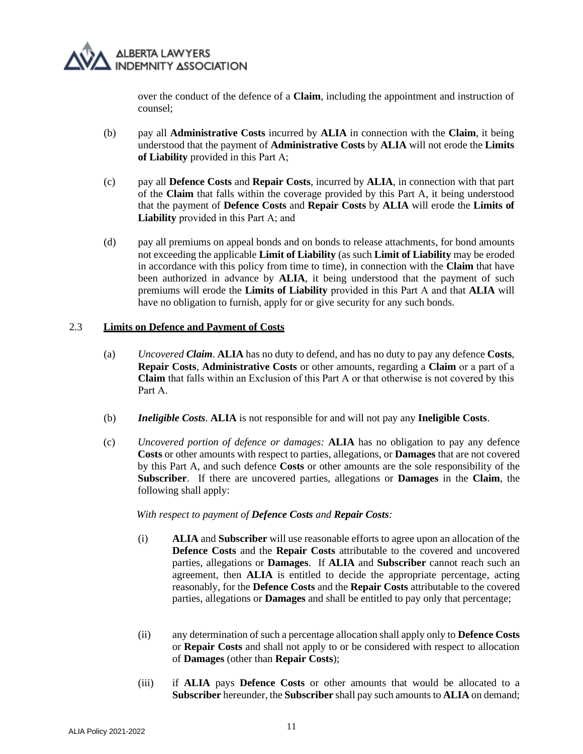

over the conduct of the defence of a **Claim**, including the appointment and instruction of counsel;

- (b) pay all **Administrative Costs** incurred by **ALIA** in connection with the **Claim**, it being understood that the payment of **Administrative Costs** by **ALIA** will not erode the **Limits of Liability** provided in this Part А;
- (c) pay all **Defence Costs** and **Repair Costs**, incurred by **ALIA**, in connection with that part of the **Claim** that falls within the coverage provided by this Part A, it being understood that the payment of **Defence Costs** and **Repair Costs** by **ALIA** will erode the **Limits of Liability** provided in this Part А; and
- (d) pay all premiums on appeal bonds and on bonds to release attachments, for bond amounts not exceeding the applicable **Limit of Liability** (as such **Limit of Liability** may be eroded in accordance with this policy from time to time), in connection with the **Claim** that have been authorized in advance by **ALIA**, it being understood that the payment of such premiums will erode the **Limits of Liability** provided in this Part А and that **ALIA** will have no obligation to furnish, apply for or give security for any such bonds.

#### 2.3 **Limits on Defence and Payment of Costs**

- (a) *Uncovered Claim*. **ALIA** has no duty to defend, and has no duty to pay any defence **Costs**, **Repair Costs**, **Administrative Costs** or other amounts, regarding a **Claim** or а part of a **Claim** that falls within an Exclusion of this Part А or that otherwise is not covered by this Part А.
- (b) *Ineligible Costs*. **ALIA** is not responsible for and will not pay any **Ineligible Costs**.
- <span id="page-10-0"></span>(c) *Uncovered portion of defence or damages:* **ALIA** has no obligation to pay any defence **Costs** or other amounts with respect to parties, allegations, or **Damages** that are not covered by this Part A, and such defence **Costs** or other amounts are the sole responsibility of the **Subscriber**. If there are uncovered parties, allegations or **Damages** in the **Claim**, the following shall apply:

#### *With respect to payment of Defence Costs and Repair Costs:*

- (i) **ALIA** and **Subscriber** will use reasonable efforts to agree upon an allocation of the **Defence Costs** and the **Repair Costs** attributable to the covered and uncovered parties, allegations or **Damages**. If **ALIA** and **Subscriber** cannot reach such an agreement, then **ALIA** is entitled to decide the appropriate percentage, acting reasonably, for the **Defence Costs** and the **Repair Costs** attributable to the covered parties, allegations or **Damages** and shall be entitled to pay only that percentage;
- (ii) any determination of such a percentage allocation shall apply only to **Defence Costs** or **Repair Costs** and shall not apply to or be considered with respect to allocation of **Damages** (other than **Repair Costs**);
- (iii) if **ALIA** pays **Defence Costs** or other amounts that would be allocated to a **Subscriber** hereunder, the **Subscriber** shall pay such amounts to **ALIA** on demand;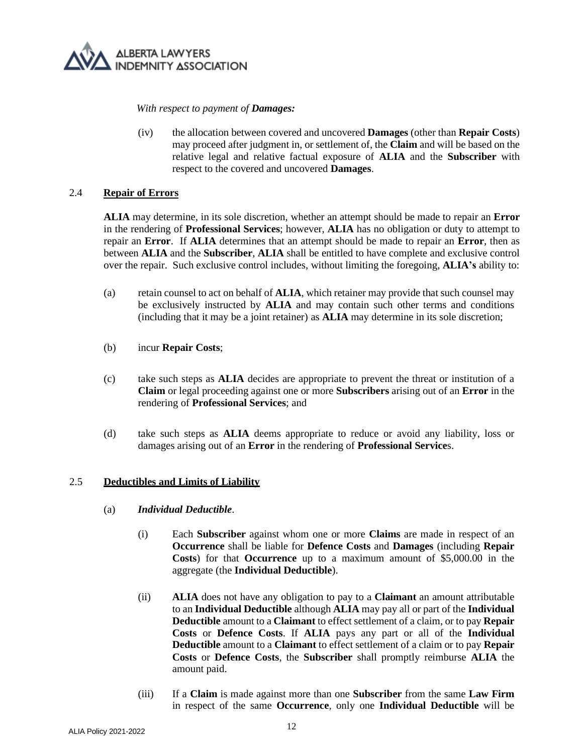

*With respect to payment of Damages:*

(iv) the allocation between covered and uncovered **Damages** (other than **Repair Costs**) may proceed after judgment in, or settlement of, the **Claim** and will be based on the relative legal and relative factual exposure of **ALIA** and the **Subscriber** with respect to the covered and uncovered **Damages**.

## 2.4 **Repair of Errors**

**ALIA** may determine, in its sole discretion, whether an attempt should be made to repair an **Error** in the rendering of **Professional Services**; however, **ALIA** has no obligation or duty to attempt to repair an **Error**. If **ALIA** determines that an attempt should be made to repair an **Error**, then as between **ALIA** and the **Subscriber**, **ALIA** shall be entitled to have complete and exclusive control over the repair. Such exclusive control includes, without limiting the foregoing, **ALIA's** ability to:

- <span id="page-11-1"></span>(a) retain counsel to act on behalf of **ALIA**, which retainer may provide that such counsel may be exclusively instructed by **ALIA** and may contain such other terms and conditions (including that it may be a joint retainer) as **ALIA** may determine in its sole discretion;
- (b) incur **Repair Costs**;
- (c) take such steps as **ALIA** decides are appropriate to prevent the threat or institution of a **Claim** or legal proceeding against one or more **Subscribers** arising out of an **Error** in the rendering of **Professional Services**; and
- (d) take such steps as **ALIA** deems appropriate to reduce or avoid any liability, loss or damages arising out of an **Error** in the rendering of **Professional Service**s.

## <span id="page-11-0"></span>2.5 **Deductibles and Limits of Liability**

- (a) *Individual Deductible*.
	- (i) Each **Subscriber** against whom one or more **Claims** are made in respect of an **Occurrence** shall be liable for **Defence Costs** and **Damages** (including **Repair Costs**) for that **Occurrence** up to a maximum amount of \$5,000.00 in the aggregate (the **Individual Deductible**).
	- (ii) **ALIA** does not have any obligation to pay to a **Claimant** an amount attributable to an **Individual Deductible** although **ALIA** may pay all or part of the **Individual Deductible** amount to a **Claimant** to effect settlement of a claim, or to pay **Repair Costs** or **Defence Costs**. If **ALIA** pays any part or all of the **Individual Deductible** amount to a **Claimant** to effect settlement of a claim or to pay **Repair Costs** or **Defence Costs**, the **Subscriber** shall promptly reimburse **ALIA** the amount paid.
	- (iii) If a **Claim** is made against more than one **Subscriber** from the same **Law Firm**  in respect of the same **Occurrence**, only one **Individual Deductible** will be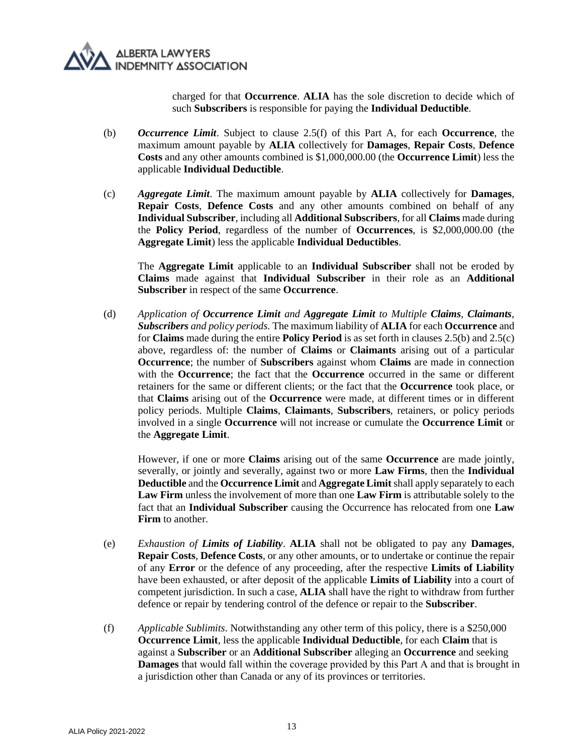

charged for that **Occurrence**. **ALIA** has the sole discretion to decide which of such **Subscribers** is responsible for paying the **Individual Deductible**.

- <span id="page-12-0"></span>(b) *Occurrence Limit*. Subject to clause [2.5](#page-11-0)[\(f\)](#page-12-1) of this Part A, for each **Occurrence**, the maximum amount payable by **ALIA** collectively for **Damages**, **Repair Costs**, **Defence Costs** and any other amounts combined is \$1,000,000.00 (the **Occurrence Limit**) less the applicable **Individual Deductible**.
- <span id="page-12-2"></span>(c) *Aggregate Limit*. The maximum amount payable by **ALIA** collectively for **Damages**, **Repair Costs**, **Defence Costs** and any other amounts combined on behalf of any **Individual Subscriber**, including all **Additional Subscribers**, for all **Claims** made during the **Policy Period**, regardless of the number of **Occurrences**, is \$2,000,000.00 (the **Aggregate Limit**) less the applicable **Individual Deductibles**.

The **Aggregate Limit** applicable to an **Individual Subscriber** shall not be eroded by **Claims** made against that **Individual Subscriber** in their role as an **Additional Subscriber** in respect of the same **Occurrence**.

(d) *Application of Occurrence Limit and Aggregate Limit to Multiple Claims, Claimants, Subscribers and policy periods.* The maximum liability of **ALIA** for each **Occurrence** and for **Claims** made during the entire **Policy Period** is as set forth in clauses 2.[5\(b\)](#page-12-0) and 2.[5\(c\)](#page-12-2) above, regardless of: the number of **Claims** or **Claimants** arising out of a particular **Occurrence**; the number of **Subscribers** against whom **Claims** are made in connection with the **Occurrence**; the fact that the **Occurrence** occurred in the same or different retainers for the same or different clients; or the fact that the **Occurrence** took place, or that **Claims** arising out of the **Occurrence** were made, at different times or in different policy periods. Multiple **Claims**, **Claimants**, **Subscribers**, retainers, or policy periods involved in a single **Occurrence** will not increase or cumulate the **Occurrence Limit** or the **Aggregate Limit**.

However, if one or more **Claims** arising out of the same **Occurrence** are made jointly, severally, or jointly and severally, against two or more **Law Firms**, then the **Individual Deductible** and the **Occurrence Limit** and **Aggregate Limit** shall apply separately to each **Law Firm** unless the involvement of more than one **Law Firm** is attributable solely to the fact that an **Individual Subscriber** causing the Occurrence has relocated from one **Law Firm** to another.

- (e) *Exhaustion of Limits of Liability*. **ALIA** shall not be obligated to pay any **Damages**, **Repair Costs**, **Defence Costs**, or any other amounts, or to undertake or continue the repair of any **Error** or the defence of any proceeding, after the respective **Limits of Liability**  have been exhausted, or after deposit of the applicable **Limits of Liability** into a court of competent jurisdiction. In such a case, **ALIA** shall have the right to withdraw from further defence or repair by tendering control of the defence or repair to the **Subscriber**.
- <span id="page-12-1"></span>(f) *Applicable Sublimits*. Notwithstanding any other term of this policy, there is a \$250,000 **Occurrence Limit**, less the applicable **Individual Deductible**, for each **Claim** that is against a **Subscriber** or an **Additional Subscriber** alleging an **Occurrence** and seeking **Damages** that would fall within the coverage provided by this Part А and that is brought in a jurisdiction other than Canada or any of its provinces or territories.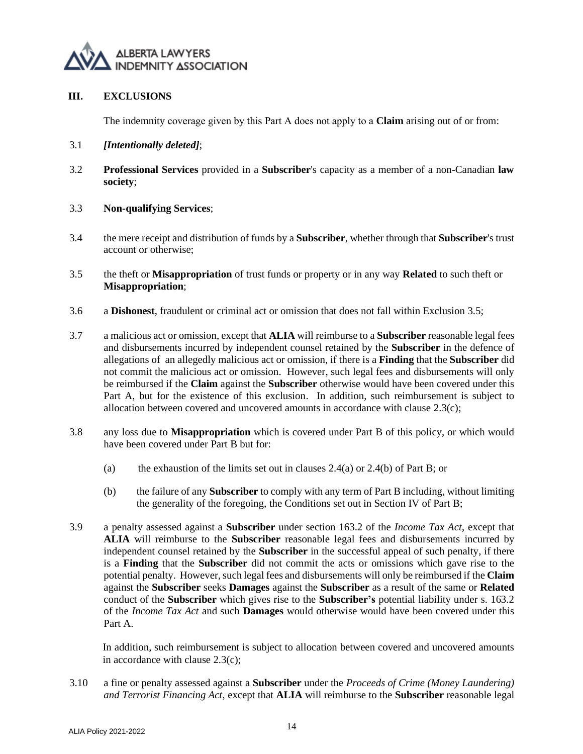

## **III. EXCLUSIONS**

The indemnity coverage given by this Part А does not apply to a **Claim** arising out of or from:

- 3.1 *[Intentionally deleted]*;
- 3.2 **Professional Services** provided in a **Subscriber**'s capacity as a member of a non-Canadian **law society**;
- <span id="page-13-3"></span>3.3 **Non-qualifying Services**;
- 3.4 the mere receipt and distribution of funds by a **Subscriber**, whether through that **Subscriber**'s trust account or otherwise;
- <span id="page-13-0"></span>3.5 the theft or **Misappropriation** of trust funds or property or in any way **Related** to such theft or **Misappropriation**;
- <span id="page-13-1"></span>3.6 a **Dishonest**, fraudulent or criminal act or omission that does not fall within Exclusion [3.5;](#page-13-0)
- <span id="page-13-2"></span>3.7 a malicious act or omission, except that **ALIA** will reimburse to a **Subscriber** reasonable legal fees and disbursements incurred by independent counsel retained by the **Subscriber** in the defence of allegations of an allegedly malicious act or omission, if there is a **Finding** that the **Subscriber** did not commit the malicious act or omission. However, such legal fees and disbursements will only be reimbursed if the **Claim** against the **Subscriber** otherwise would have been covered under this Part A, but for the existence of this exclusion. In addition, such reimbursement is subject to allocation between covered and uncovered amounts in accordance with clause [2.3\(c\);](#page-10-0)
- 3.8 any loss due to **Misappropriation** which is covered under Part B of this policy, or which would have been covered under Part B but for:
	- (a) the exhaustion of the limits set out in clauses [2.4\(a\)](#page-28-0) o[r 2.4\(b\)](#page-28-1) of Part B; or
	- (b) the failure of any **Subscriber** to comply with any term of Part B including, without limiting the generality of the foregoing, the Conditions set out in Section [IV](#page-29-0) of Part B;
- 3.9 a penalty assessed against a **Subscriber** under section 163.2 of the *Income Tax Act*, except that **ALIA** will reimburse to the **Subscriber** reasonable legal fees and disbursements incurred by independent counsel retained by the **Subscriber** in the successful appeal of such penalty, if there is a **Finding** that the **Subscriber** did not commit the acts or omissions which gave rise to the potential penalty. However, such legal fees and disbursements will only be reimbursed if the **Claim**  against the **Subscriber** seeks **Damages** against the **Subscriber** as a result of the same or **Related** conduct of the **Subscriber** which gives rise to the **Subscriber's** potential liability under s. 163.2 of the *Income Tax Act* and such **Damages** would otherwise would have been covered under this Part A.

In addition, such reimbursement is subject to allocation between covered and uncovered amounts in accordance with clause [2.3\(c\);](#page-10-0)

3.10 a fine or penalty assessed against a **Subscriber** under the *Proceeds of Crime (Money Laundering) and Terrorist Financing Act*, except that **ALIA** will reimburse to the **Subscriber** reasonable legal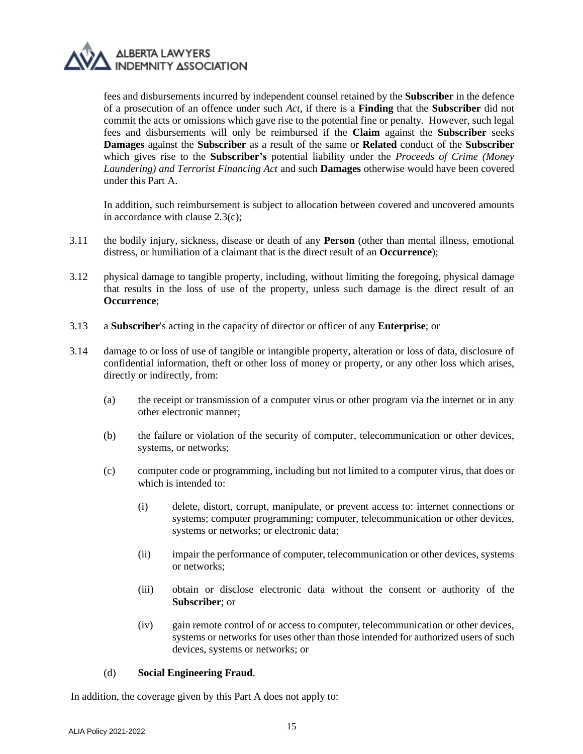

fees and disbursements incurred by independent counsel retained by the **Subscriber** in the defence of a prosecution of an offence under such *Act*, if there is a **Finding** that the **Subscriber** did not commit the acts or omissions which gave rise to the potential fine or penalty*.* However, such legal fees and disbursements will only be reimbursed if the **Claim** against the **Subscriber** seeks **Damages** against the **Subscriber** as a result of the same or **Related** conduct of the **Subscriber** which gives rise to the **Subscriber's** potential liability under the *Proceeds of Crime (Money Laundering) and Terrorist Financing Act* and such **Damages** otherwise would have been covered under this Part A.

In addition, such reimbursement is subject to allocation between covered and uncovered amounts in accordance with clause [2.3\(c\);](#page-10-0)

- 3.11 the bodily injury, sickness, disease or death of any **Person** (other than mental illness, emotional distress, or humiliation of a claimant that is the direct result of an **Occurrence**);
- 3.12 physical damage to tangible property, including, without limiting the foregoing, physical damage that results in the loss of use of the property, unless such damage is the direct result of an **Occurrence**;
- 3.13 a **Subscriber**'s acting in the capacity of director or officer of any **Enterprise**; or
- 3.14 damage to or loss of use of tangible or intangible property, alteration or loss of data, disclosure of confidential information, theft or other loss of money or property, or any other loss which arises, directly or indirectly, from:
	- (a) the receipt or transmission of a computer virus or other program via the internet or in any other electronic manner;
	- (b) the failure or violation of the security of computer, telecommunication or other devices, systems, or networks;
	- (c) computer code or programming, including but not limited to a computer virus, that does or which is intended to:
		- (i) delete, distort, corrupt, manipulate, or prevent access to: internet connections or systems; computer programming; computer, telecommunication or other devices, systems or networks; or electronic data;
		- (ii) impair the performance of computer, telecommunication or other devices, systems or networks;
		- (iii) obtain or disclose electronic data without the consent or authority of the **Subscriber**; or
		- (iv) gain remote control of or access to computer, telecommunication or other devices, systems or networks for uses other than those intended for authorized users of such devices, systems or networks; or

## (d) **Social Engineering Fraud**.

In addition, the coverage given by this Part A does not apply to: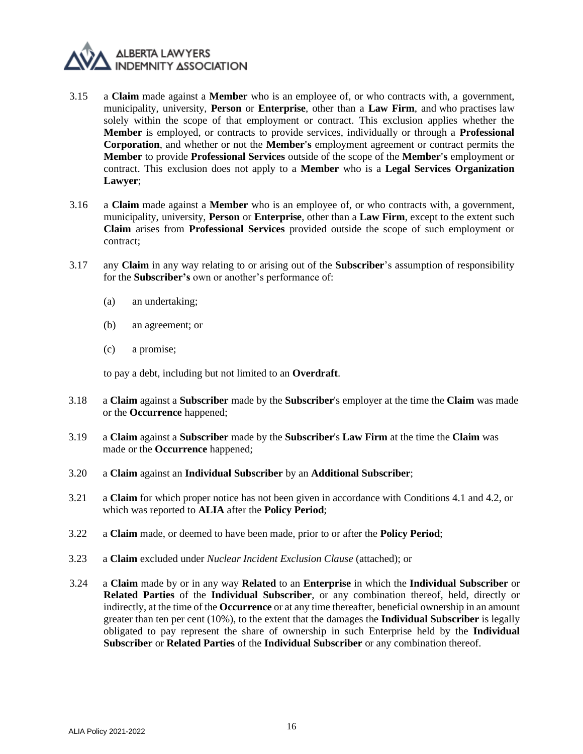

- 3.15 a **Claim** made against a **Member** who is an employee of, or who contracts with, a government, municipality, university, **Person** or **Enterprise**, other than a **Law Firm**, and who practises law solely within the scope of that employment or contract. This exclusion applies whether the **Member** is employed, or contracts to provide services, individually or through a **Professional Corporation**, and whether or not the **Member's** employment agreement or contract permits the **Member** to provide **Professional Services** outside of the scope of the **Member's** employment or contract. This exclusion does not apply to a **Member** who is a **Legal Services Organization Lawyer**;
- 3.16 a **Claim** made against a **Member** who is an employee of, or who contracts with, a government, municipality, university, **Person** or **Enterprise**, other than a **Law Firm**, except to the extent such **Claim** arises from **Professional Services** provided outside the scope of such employment or contract;
- 3.17 any **Claim** in any way relating to or arising out of the **Subscriber**'s assumption of responsibility for the **Subscriber's** own or another's performance of:
	- (a) an undertaking;
	- (b) an agreement; or
	- (c) a promise;

to pay a debt, including but not limited to an **Overdraft**.

- 3.18 a **Claim** against a **Subscriber** made by the **Subscriber**'s employer at the time the **Claim** was made or the **Occurrence** happened;
- 3.19 a **Claim** against a **Subscriber** made by the **Subscriber**'s **Law Firm** at the time the **Claim** was made or the **Occurrence** happened;
- 3.20 a **Claim** against an **Individual Subscriber** by an **Additional Subscriber**;
- 3.21 a **Claim** for which proper notice has not been given in accordance with Conditions 4.1 and 4.2, or which was reported to **ALIA** after the **Policy Period**;
- 3.22 a **Claim** made, or deemed to have been made, prior to or after the **Policy Period**;
- 3.23 a **Claim** excluded under *Nuclear Incident Exclusion Clause* (attached); or
- 3.24 a **Claim** made by or in any way **Related** to an **Enterprise** in which the **Individual Subscriber** or **Related Parties** of the **Individual Subscriber**, or any combination thereof, held, directly or indirectly, at the time of the **Occurrence** or at any time thereafter, beneficial ownership in an amount greater than ten per cent (10%), to the extent that the damages the **Individual Subscriber** is legally obligated to pay represent the share of ownership in such Enterprise held by the **Individual Subscriber** or **Related Parties** of the **Individual Subscriber** or any combination thereof.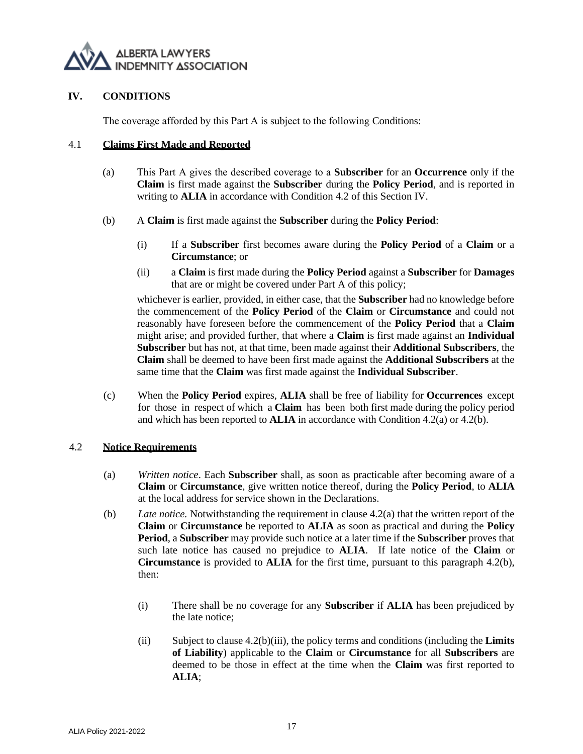

## **IV. CONDITIONS**

The coverage afforded by this Part A is subject to the following Conditions:

#### <span id="page-16-0"></span>4.1 **Claims First Made and Reported**

- (a) This Part А gives the described coverage to a **Subscriber** for an **Occurrence** only if the **Claim** is first made against the **Subscriber** during the **Policy Period**, and is reported in writing to **ALIA** in accordance with Condition 4.2 of this Section IV.
- (b) A **Claim** is first made against the **Subscriber** during the **Policy Period**:
	- (i) If a **Subscriber** first becomes aware during the **Policy Period** of a **Claim** or a **Circumstance**; or
	- (ii) a **Claim** is first made during the **Policy Period** against a **Subscriber** for **Damages** that are or might be covered under Part A of this policy;

whichever is earlier, provided, in either case, that the **Subscriber** had no knowledge before the commencement of the **Policy Period** of the **Claim** or **Circumstance** and could not reasonably have foreseen before the commencement of the **Policy Period** that a **Claim** might arise; and provided further, that where a **Claim** is first made against an **Individual Subscriber** but has not, at that time, been made against their **Additional Subscribers**, the **Claim** shall be deemed to have been first made against the **Additional Subscribers** at the same time that the **Claim** was first made against the **Individual Subscriber**.

(c) When the **Policy Period** expires, **ALIA** shall be free of liability for **Occurrences** except for those in respect of which a **Claim** has been both first made during the policy period and which has been reported to **ALIA** in accordance with Condition 4.2(a) or 4.2(b).

## 4.2 **Notice Requirements**

- (a) *Written notice*. Each **Subscriber** shall, as soon as practicable after becoming aware of a **Claim** or **Circumstance**, give written notice thereof, during the **Policy Period**, to **ALIA** at the local address for service shown in the Declarations.
- (b) *Late notice.* Notwithstanding the requirement in clause 4.2(a) that the written report of the **Claim** or **Circumstance** be reported to **ALIA** as soon as practical and during the **Policy Period**, a **Subscriber** may provide such notice at a later time if the **Subscriber** proves that such late notice has caused no prejudice to **ALIA**. If late notice of the **Claim** or **Circumstance** is provided to **ALIA** for the first time, pursuant to this paragraph [4.2](#page-30-0)[\(b\),](#page-30-1) then:
	- (i) There shall be no coverage for any **Subscriber** if **ALIA** has been prejudiced by the late notice;
	- (ii) Subject to clause 4.2(b)(iii), the policy terms and conditions (including the **Limits of Liability**) applicable to the **Claim** or **Circumstance** for all **Subscribers** are deemed to be those in effect at the time when the **Claim** was first reported to **ALIA**;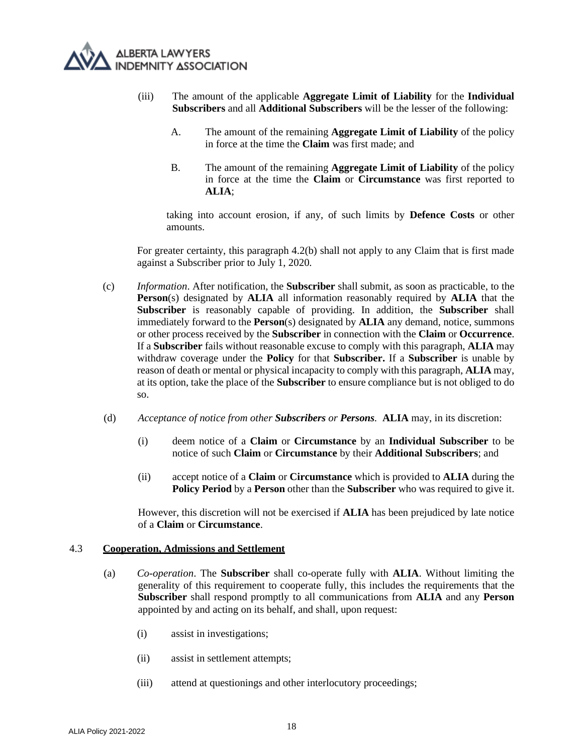

- (iii) The amount of the applicable **Aggregate Limit of Liability** for the **Individual Subscribers** and all **Additional Subscribers** will be the lesser of the following:
	- A. The amount of the remaining **Aggregate Limit of Liability** of the policy in force at the time the **Claim** was first made; and
	- B. The amount of the remaining **Aggregate Limit of Liability** of the policy in force at the time the **Claim** or **Circumstance** was first reported to **ALIA**;

taking into account erosion, if any, of such limits by **Defence Costs** or other amounts.

For greater certainty, this paragraph 4.2(b) shall not apply to any Claim that is first made against a Subscriber prior to July 1, 2020.

- (c) *Information*. After notification, the **Subscriber** shall submit, as soon as practicable, to the **Person**(s) designated by **ALIA** all information reasonably required by **ALIA** that the **Subscriber** is reasonably capable of providing. In addition, the **Subscriber** shall immediately forward to the **Person**(s) designated by **ALIA** any demand, notice, summons or other process received by the **Subscriber** in connection with the **Claim** or **Occurrence**. If a **Subscriber** fails without reasonable excuse to comply with this paragraph, **ALIA** may withdraw coverage under the **Policy** for that **Subscriber.** If a **Subscriber** is unable by reason of death or mental or physical incapacity to comply with this paragraph, **ALIA** may, at its option, take the place of the **Subscriber** to ensure compliance but is not obliged to do so.
- (d) *Acceptance of notice from other Subscribers or Persons.* **ALIA** may, in its discretion:
	- (i) deem notice of a **Claim** or **Circumstance** by an **Individual Subscriber** to be notice of such **Claim** or **Circumstance** by their **Additional Subscribers**; and
	- (ii) accept notice of a **Claim** or **Circumstance** which is provided to **ALIA** during the **Policy Period** by a **Person** other than the **Subscriber** who was required to give it.

However, this discretion will not be exercised if **ALIA** has been prejudiced by late notice of a **Claim** or **Circumstance**.

#### <span id="page-17-0"></span>4.3 **Cooperation, Admissions and Settlement**

- (a) *Co-operation*. The **Subscriber** shall co-operate fully with **ALIA**. Without limiting the generality of this requirement to cooperate fully, this includes the requirements that the **Subscriber** shall respond promptly to all communications from **ALIA** and any **Person** appointed by and acting on its behalf, and shall, upon request:
	- (i) assist in investigations;
	- (ii) assist in settlement attempts;
	- (iii) attend at questionings and other interlocutory proceedings;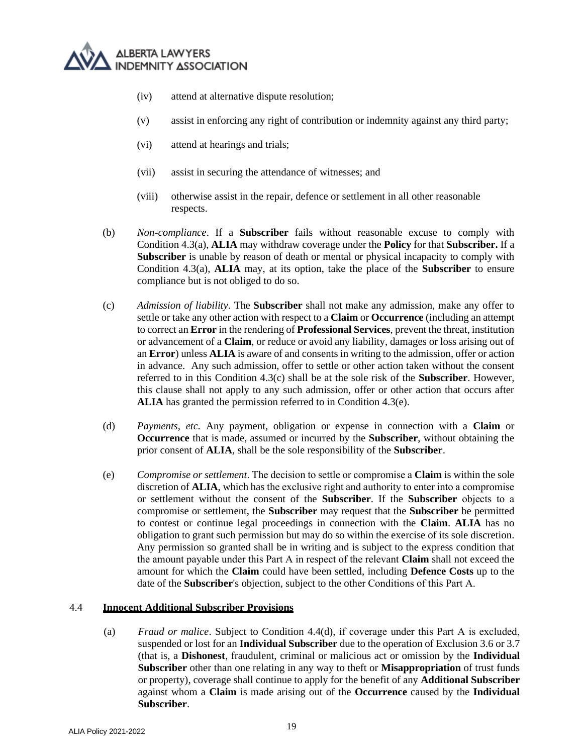- (iv) attend at alternative dispute resolution;
- (v) assist in enforcing any right of contribution or indemnity against any third party;
- (vi) attend at hearings and trials;
- (vii) assist in securing the attendance of witnesses; and
- (viii) otherwise assist in the repair, defence or settlement in all other reasonable respects.
- (b) *Non-compliance*. If a **Subscriber** fails without reasonable excuse to comply with Condition 4.3(a), **ALIA** may withdraw coverage under the **Policy** for that **Subscriber.** If a **Subscriber** is unable by reason of death or mental or physical incapacity to comply with Condition 4.3(a), **ALIA** may, at its option, take the place of the **Subscriber** to ensure compliance but is not obliged to do so.
- (c) *Admission of liability*. The **Subscriber** shall not make any admission, make any offer to settle or take any other action with respect to a **Claim** or **Occurrence** (including an attempt to correct an **Error** in the rendering of **Professional Services**, prevent the threat, institution or advancement of a **Claim**, or reduce or avoid any liability, damages or loss arising out of an **Error**) unless **ALIA** is aware of and consents in writing to the admission, offer or action in advance. Any such admission, offer to settle or other action taken without the consent referred to in this Condition 4.3(c) shall be at the sole risk of the **Subscriber**. However, this clause shall not apply to any such admission, offer or other action that occurs after **ALIA** has granted the permission referred to in Condition 4.[3\(e\).](#page-18-0)
- (d) *Payments, etc.* Any payment, obligation or expense in connection with a **Claim** or **Occurrence** that is made, assumed or incurred by the **Subscriber**, without obtaining the prior consent of **ALIA**, shall be the sole responsibility of the **Subscriber**.
- <span id="page-18-0"></span>(e) *Compromise or settlement*. The decision to settle or compromise а **Claim** is within the sole discretion of **ALIA**, which has the exclusive right and authority to enter into а compromise or settlement without the consent of the **Subscriber**. If the **Subscriber** objects to а compromise or settlement, the **Subscriber** may request that the **Subscriber** be permitted to contest or continue legal proceedings in connection with the **Claim**. **ALIA** has no obligation to grant such permission but may do so within the exercise of its sole discretion. Any permission so granted shall be in writing and is subject to the express condition that the amount payable under this Part А in respect of the relevant **Claim** shall not exceed the amount for which the **Claim** could have been settled, including **Defence Costs** up to the date of the **Subscriber**'s objection, subject to the other Conditions of this Part А.

## 4.4 **Innocent Additional Subscriber Provisions**

(a) *Fraud or malice*. Subject to Condition 4.4(d), if coverage under this Part А is excluded, suspended or lost for an **Individual Subscriber** due to the operation of Exclusion [3.6](#page-13-1) or [3.7](#page-13-2) (that is, a **Dishonest**, fraudulent, criminal or malicious act or omission by the **Individual Subscriber** other than one relating in any way to theft or **Misappropriation** of trust funds or property), coverage shall continue to apply for the benefit of any **Additional Subscriber** against whom a **Claim** is made arising out of the **Occurrence** caused by the **Individual Subscriber**.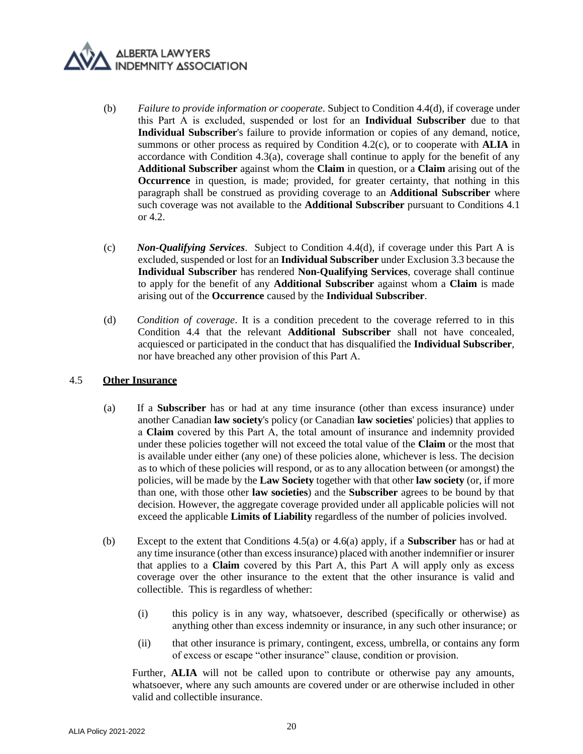- (b) *Failure to provide information or cooperate*. Subject to Condition 4.4(d), if coverage under this Part А is excluded, suspended or lost for an **Individual Subscriber** due to that **Individual Subscriber**'s failure to provide information or copies of any demand, notice, summons or other process as required by Condition 4.2(c), or to cooperate with **ALIA** in accordance with Condition 4.[3\(a\),](#page-17-0) coverage shall continue to apply for the benefit of any **Additional Subscriber** against whom the **Claim** in question, or a **Claim** arising out of the **Occurrence** in question, is made; provided, for greater certainty, that nothing in this paragraph shall be construed as providing coverage to an **Additional Subscriber** where such coverage was not available to the **Additional Subscriber** pursuant to Conditions 4.1 or 4.2.
- (c) *Non-Qualifying Services*. Subject to Condition 4.4(d), if coverage under this Part A is excluded, suspended or lost for an **Individual Subscriber** under Exclusio[n 3.3](#page-13-3) because the **Individual Subscriber** has rendered **Non-Qualifying Services**, coverage shall continue to apply for the benefit of any **Additional Subscriber** against whom a **Claim** is made arising out of the **Occurrence** caused by the **Individual Subscriber**.
- (d) *Condition of coverage*. It is a condition precedent to the coverage referred to in this Condition 4.4 that the relevant **Additional Subscriber** shall not have concealed, acquiesced or participated in the conduct that has disqualified the **Individual Subscriber**, nor have breached any other provision of this Part А.

## <span id="page-19-0"></span>4.5 **Other Insurance**

- (a) If a **Subscriber** has or had at any time insurance (other than excess insurance) under another Canadian **law society**'s policy (or Canadian **law societies**' policies) that applies to а **Claim** covered by this Part А, the total amount of insurance and indemnity provided under these policies together will not exceed the total value of the **Claim** or the most that is available under either (any one) of these policies alone, whichever is less. The decision as to which of these policies will respond, or as to any allocation between (or amongst) the policies, will be made by the **Law Society** together with that other **law society** (or, if more than one, with those other **law societies**) and the **Subscriber** agrees to be bound by that decision. However, the aggregate coverage provided under all applicable policies will not exceed the applicable **Limits of Liability** regardless of the number of policies involved.
- (b) Except to the extent that Conditions 4.[5\(a\)](#page-19-0) or 4.6(a) apply, if a **Subscriber** has or had at any time insurance (other than excess insurance) placed with another indemnifier or insurer that applies to a **Claim** covered by this Part А, this Part А will apply only as excess coverage over the other insurance to the extent that the other insurance is valid and collectible. This is regardless of whether:
	- (i) this policy is in any way, whatsoever, described (specifically or otherwise) as anything other than excess indemnity or insurance, in any such other insurance; or
	- (ii) that other insurance is primary, contingent, excess, umbrella, or contains any form of excess or escape "other insurance" clause, condition or provision.

Further, **ALIA** will not be called upon to contribute or otherwise pay any amounts, whatsoever, where any such amounts are covered under or are otherwise included in other valid and collectible insurance.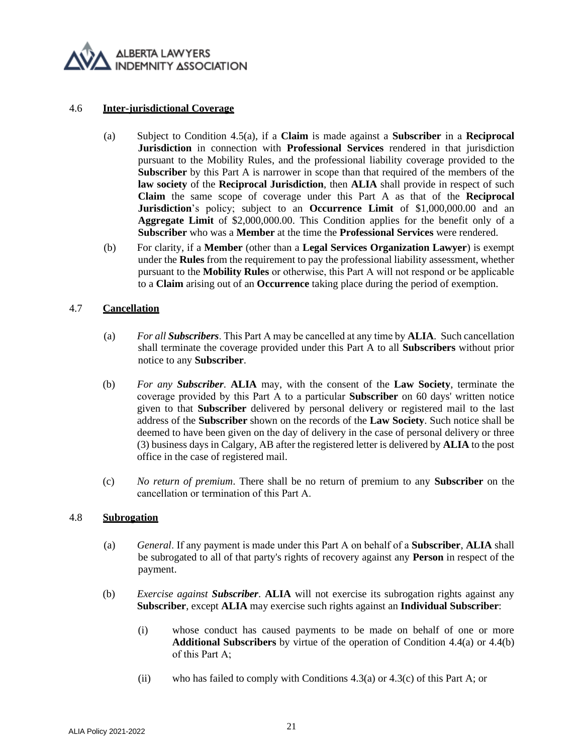

#### 4.6 **Inter-jurisdictional Coverage**

- (a) Subject to Condition 4.[5\(a\),](#page-19-0) if a **Claim** is made against a **Subscriber** in а **Reciprocal Jurisdiction** in connection with **Professional Services** rendered in that jurisdiction pursuant to the Mobility Rules, and the professional liability coverage provided to the **Subscriber** by this Part A is narrower in scope than that required of the members of the **law society** of the **Reciprocal Jurisdiction**, then **ALIA** shall provide in respect of such **Claim** the same scope of coverage under this Part A as that of the **Reciprocal Jurisdiction**'s policy; subject to an **Occurrence Limit** of \$1,000,000.00 and an **Aggregate Limit** of \$2,000,000.00. This Condition applies for the benefit only of a **Subscriber** who was a **Member** at the time the **Professional Services** were rendered.
- (b) For clarity, if a **Member** (other than a **Legal Services Organization Lawyer**) is exempt under the **Rules** from the requirement to pay the professional liability assessment, whether pursuant to the **Mobility Rules** or otherwise, this Part А will not respond or be applicable to a **Claim** arising out of an **Occurrence** taking place during the period of exemption.

## 4.7 **Cancellation**

- (a) *For all Subscribers*. This Part А may be cancelled at any time by **ALIA**. Such cancellation shall terminate the coverage provided under this Part A to all **Subscribers** without prior notice to any **Subscriber**.
- (b) *For any Subscriber*. **ALIA** may, with the consent of the **Law Society**, terminate the coverage provided by this Part А to a particular **Subscriber** on 60 days' written notice given to that **Subscriber** delivered by personal delivery or registered mail to the last address of the **Subscriber** shown on the records of the **Law Society**. Such notice shall be deemed to have been given on the day of delivery in the case of personal delivery or three (3) business days in Calgary, AB after the registered letter is delivered by **ALIA** to the post office in the case of registered mail.
- (c) *No return of premium*. There shall be no return of premium to any **Subscriber** on the cancellation or termination of this Part А.

## 4.8 **Subrogation**

- (a) *General*. If any payment is made under this Part А on behalf of a **Subscriber**, **ALIA** shall be subrogated to all of that party's rights of recovery against any **Person** in respect of the payment.
- (b) *Exercise against Subscriber*. **ALIA** will not exercise its subrogation rights against any **Subscriber**, except **ALIA** may exercise such rights against an **Individual Subscriber**:
	- (i) whose conduct has caused payments to be made on behalf of one or more **Additional Subscribers** by virtue of the operation of Condition 4.4(a) or 4.4(b) of this Part А;
	- (ii) who has failed to comply with Conditions  $4.3(a)$  or  $4.3(c)$  of this Part A; or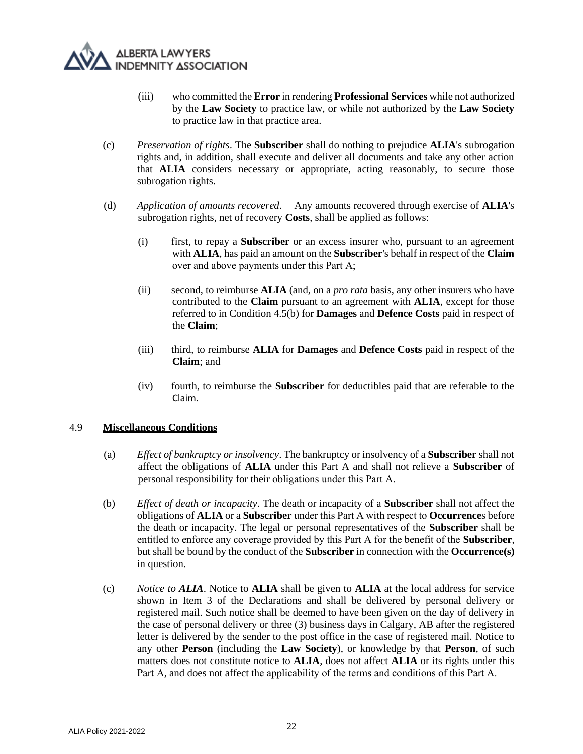

- (iii) who committed the **Error** in rendering **Professional Services** while not authorized by the **Law Society** to practice law, or while not authorized by the **Law Society** to practice law in that practice area.
- (c) *Preservation of rights*. The **Subscriber** shall do nothing to prejudice **ALIA**'s subrogation rights and, in addition, shall execute and deliver all documents and take any other action that **ALIA** considers necessary or appropriate, acting reasonably, to secure those subrogation rights.
- (d) *Application of amounts recovered*. Any amounts recovered through exercise of **ALIA**'s subrogation rights, net of recovery **Costs**, shall be applied as follows:
	- (i) first, to repay a **Subscriber** or an excess insurer who, pursuant to an agreement with **ALIA**, has paid an amount on the **Subscriber**'s behalf in respect of the **Claim**  over and above payments under this Part А;
	- (ii) second, to reimburse **ALIA** (and, on a *pro rata* basis, any other insurers who have contributed to the **Claim** pursuant to an agreement with **ALIA**, except for those referred to in Condition 4.5(b) for **Damages** and **Defence Costs** paid in respect of the **Claim**;
	- (iii) third, to reimburse **ALIA** for **Damages** and **Defence Costs** paid in respect of the **Claim**; and
	- (iv) fourth, to reimburse the **Subscriber** for deductibles paid that are referable to the Claim.

## 4.9 **Miscellaneous Conditions**

- (a) *Effect of bankruptcy or insolvency*. The bankruptcy or insolvency of a **Subscriber** shall not affect the obligations of **ALIA** under this Part A and shall not relieve a **Subscriber** of personal responsibility for their obligations under this Part А.
- (b) *Effect of death or incapacity*. The death or incapacity of a **Subscriber** shall not affect the obligations of **ALIA** or a **Subscriber** under this Part А with respect to **Occurrence**s before the death or incapacity. The legal or personal representatives of the **Subscriber** shall be entitled to enforce any coverage provided by this Part А for the benefit of the **Subscriber**, but shall be bound by the conduct of the **Subscriber** in connection with the **Occurrence(s)** in question.
- (c) *Notice to ALIA*. Notice to **ALIA** shall be given to **ALIA** at the local address for service shown in Item 3 of the Declarations and shall be delivered by personal delivery or registered mail. Such notice shall be deemed to have been given on the day of delivery in the case of personal delivery or three (3) business days in Calgary, AB after the registered letter is delivered by the sender to the post office in the case of registered mail. Notice to any other **Person** (including the **Law Society**), or knowledge by that **Person**, of such matters does not constitute notice to **ALIA**, does not affect **ALIA** or its rights under this Part А, and does not affect the applicability of the terms and conditions of this Part А.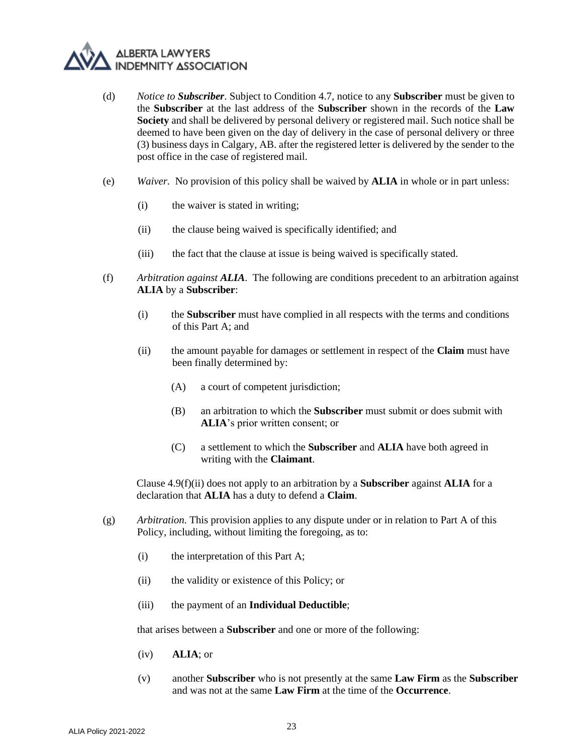- (d) *Notice to Subscriber*. Subject to Condition 4.7, notice to any **Subscriber** must be given to the **Subscriber** at the last address of the **Subscriber** shown in the records of the **Law Society** and shall be delivered by personal delivery or registered mail. Such notice shall be deemed to have been given on the day of delivery in the case of personal delivery or three (3) business days in Calgary, AB. after the registered letter is delivered by the sender to the post office in the case of registered mail.
- (e) *Waiver.* No provision of this policy shall be waived by **ALIA** in whole or in part unless:
	- (i) the waiver is stated in writing;
	- (ii) the clause being waived is specifically identified; and
	- (iii) the fact that the clause at issue is being waived is specifically stated.
- (f) *Arbitration against ALIA*. The following are conditions precedent to an arbitration against **ALIA** by a **Subscriber**:
	- (i) the **Subscriber** must have complied in all respects with the terms and conditions of this Part A; and
	- (ii) the amount payable for damages or settlement in respect of the **Claim** must have been finally determined by:
		- (A) a court of competent jurisdiction;
		- (B) an arbitration to which the **Subscriber** must submit or does submit with **ALIA**'s prior written consent; or
		- (C) a settlement to which the **Subscriber** and **ALIA** have both agreed in writing with the **Claimant**.

Clause 4.9(f)(ii) does not apply to an arbitration by a **Subscriber** against **ALIA** for a declaration that **ALIA** has a duty to defend a **Claim**.

- (g) *Arbitration*. This provision applies to any dispute under or in relation to Part A of this Policy, including, without limiting the foregoing, as to:
	- (i) the interpretation of this Part A;
	- (ii) the validity or existence of this Policy; or
	- (iii) the payment of an **Individual Deductible**;

that arises between a **Subscriber** and one or more of the following:

- (iv) **ALIA**; or
- (v) another **Subscriber** who is not presently at the same **Law Firm** as the **Subscriber** and was not at the same **Law Firm** at the time of the **Occurrence**.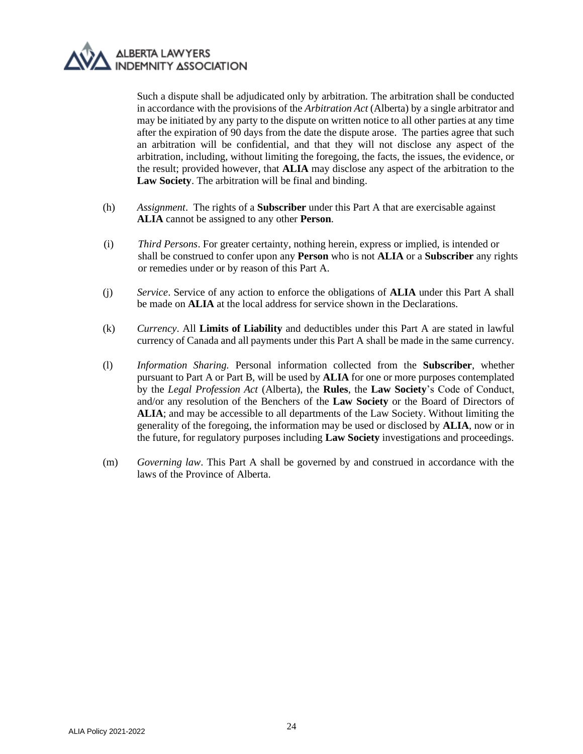

Such a dispute shall be adjudicated only by arbitration. The arbitration shall be conducted in accordance with the provisions of the *Arbitration Act* (Alberta) by a single arbitrator and may be initiated by any party to the dispute on written notice to all other parties at any time after the expiration of 90 days from the date the dispute arose. The parties agree that such an arbitration will be confidential, and that they will not disclose any aspect of the arbitration, including, without limiting the foregoing, the facts, the issues, the evidence, or the result; provided however, that **ALIA** may disclose any aspect of the arbitration to the **Law Society**. The arbitration will be final and binding.

- (h) *Assignment*. The rights of a **Subscriber** under this Part A that are exercisable against **ALIA** cannot be assigned to any other **Person**.
- (i) *Third Persons*. For greater certainty, nothing herein, express or implied, is intended or shall be construed to confer upon any **Person** who is not **ALIA** or a **Subscriber** any rights or remedies under or by reason of this Part A.
- (j) *Service*. Service of any action to enforce the obligations of **ALIA** under this Part A shall be made on **ALIA** at the local address for service shown in the Declarations.
- (k) *Currency*. All **Limits of Liability** and deductibles under this Part A are stated in lawful currency of Canada and all payments under this Part A shall be made in the same currency.
- (l) *Information Sharing.* Personal information collected from the **Subscriber**, whether pursuant to Part A or Part B, will be used by **ALIA** for one or more purposes contemplated by the *Legal Profession Act* (Alberta), the **Rules**, the **Law Society**'s Code of Conduct, and/or any resolution of the Benchers of the **Law Society** or the Board of Directors of **ALIA**; and may be accessible to all departments of the Law Society. Without limiting the generality of the foregoing, the information may be used or disclosed by **ALIA**, now or in the future, for regulatory purposes including **Law Society** investigations and proceedings.
- (m) *Governing law*. This Part A shall be governed by and construed in accordance with the laws of the Province of Alberta.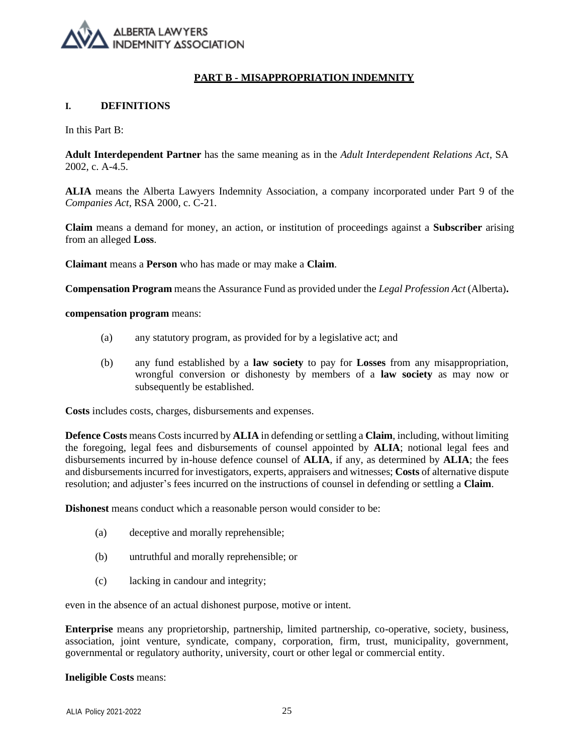#### **PART B - MISAPPROPRIATION INDEMNITY**

#### **I. DEFINITIONS**

In this Part B:

**Adult Interdependent Partner** has the same meaning as in the *Adult Interdependent Relations Act*, SA 2002, c. A-4.5.

**ALIA** means the Alberta Lawyers Indemnity Association, a company incorporated under Part 9 of the *Companies Act*, RSA 2000, c. C-21.

**Claim** means a demand for money, an action, or institution of proceedings against a **Subscriber** arising from an alleged **Loss**.

**Claimant** means a **Person** who has made or may make a **Claim**.

**Compensation Program** means the Assurance Fund as provided under the *Legal Profession Act* (Alberta)**.**

**compensation program** means:

- (a) any statutory program, as provided for by a legislative act; and
- (b) any fund established by a **law society** to pay for **Losses** from any misappropriation, wrongful conversion or dishonesty by members of a **law society** as may now or subsequently be established.

**Costs** includes costs, charges, disbursements and expenses.

**Defence Costs** means Costs incurred by **ALIA** in defending or settling a **Claim**, including, without limiting the foregoing, legal fees and disbursements of counsel appointed by **ALIA**; notional legal fees and disbursements incurred by in-house defence counsel of **ALIA**, if any, as determined by **ALIA**; the fees and disbursements incurred for investigators, experts, appraisers and witnesses; **Costs** of alternative dispute resolution; and adjuster's fees incurred on the instructions of counsel in defending or settling a **Claim**.

**Dishonest** means conduct which a reasonable person would consider to be:

- (a) deceptive and morally reprehensible;
- (b) untruthful and morally reprehensible; or
- (c) lacking in candour and integrity;

even in the absence of an actual dishonest purpose, motive or intent.

**Enterprise** means any proprietorship, partnership, limited partnership, co-operative, society, business, association, joint venture, syndicate, company, corporation, firm, trust, municipality, government, governmental or regulatory authority, university, court or other legal or commercial entity.

**Ineligible Costs** means: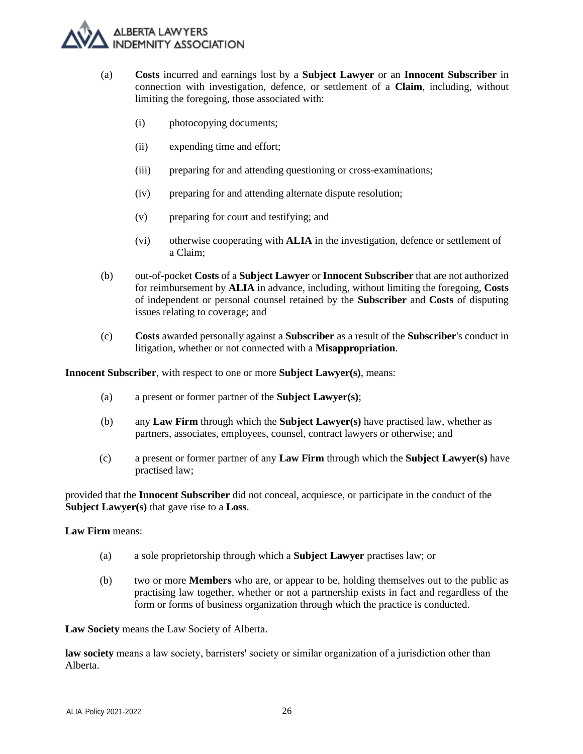

- (a) **Costs** incurred and earnings lost by a **Subject Lawyer** or an **Innocent Subscriber** in connection with investigation, defence, or settlement of a **Claim**, including, without limiting the foregoing, those associated with:
	- (i) photocopying documents;
	- (ii) expending time and effort;
	- (iii) preparing for and attending questioning or cross-examinations;
	- (iv) preparing for and attending alternate dispute resolution;
	- (v) preparing for court and testifying; and
	- (vi) otherwise cooperating with **ALIA** in the investigation, defence or settlement of a Claim;
- (b) out-of-pocket **Costs** of a **Subject Lawyer** or **Innocent Subscriber** that are not authorized for reimbursement by **ALIA** in advance, including, without limiting the foregoing, **Costs**  of independent or personal counsel retained by the **Subscriber** and **Costs** of disputing issues relating to coverage; and
- (c) **Costs** awarded personally against a **Subscriber** as a result of the **Subscriber**'s conduct in litigation, whether or not connected with a **Misappropriation**.

**Innocent Subscriber**, with respect to one or more **Subject Lawyer(s)**, means:

- (a) a present or former partner of the **Subject Lawyer(s)**;
- (b) any **Law Firm** through which the **Subject Lawyer(s)** have practised law, whether as partners, associates, employees, counsel, contract lawyers or otherwise; and
- (c) a present or former partner of any **Law Firm** through which the **Subject Lawyer(s)** have practised law;

provided that the **Innocent Subscriber** did not conceal, acquiesce, or participate in the conduct of the **Subject Lawyer(s)** that gave rise to a **Loss**.

**Law Firm** means:

- (a) a sole proprietorship through which a **Subject Lawyer** practises law; or
- (b) two or more **Members** who are, or appear to be, holding themselves out to the public as practising law together, whether or not a partnership exists in fact and regardless of the form or forms of business organization through which the practice is conducted.

**Law Society** means the Law Society of Alberta.

**law society** means а law society, barristers' society or similar organization of a jurisdiction other than Alberta.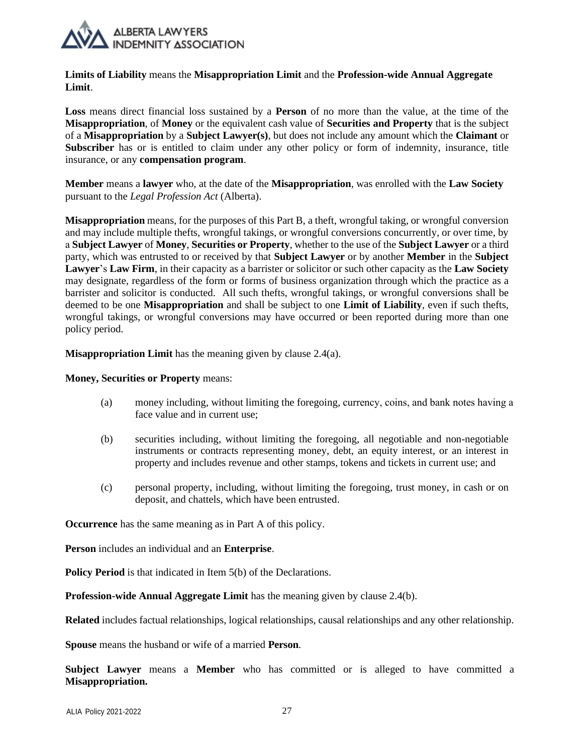

**Limits of Liability** means the **Misappropriation Limit** and the **Profession-wide Annual Aggregate Limit**.

**Loss** means direct financial loss sustained by a **Person** of no more than the value, at the time of the **Misappropriation**, of **Money** or the equivalent cash value of **Securities and Property** that is the subject of a **Misappropriation** by a **Subject Lawyer(s)**, but does not include any amount which the **Claimant** or **Subscriber** has or is entitled to claim under any other policy or form of indemnity, insurance, title insurance, or any **compensation program**.

**Member** means a **lawyer** who, at the date of the **Misappropriation**, was enrolled with the **Law Society** pursuant to the *Legal Profession Act* (Alberta).

**Misappropriation** means, for the purposes of this Part B, a theft, wrongful taking, or wrongful conversion and may include multiple thefts, wrongful takings, or wrongful conversions concurrently, or over time, by а **Subject Lawyer** of **Money**, **Securities or Property**, whether to the use of the **Subject Lawyer** or a third party, which was entrusted to or received by that **Subject Lawyer** or by another **Member** in the **Subject Lawyer**'s **Law Firm**, in their capacity as a barrister or solicitor or such other capacity as the **Law Society**  may designate, regardless of the form or forms of business organization through which the practice as a barrister and solicitor is conducted. All such thefts, wrongful takings, or wrongful conversions shall be deemed to be one **Misappropriation** and shall be subject to one **Limit of Liability**, even if such thefts, wrongful takings, or wrongful conversions may have occurred or been reported during more than one policy period.

**Misappropriation Limit** has the meaning given by clause 2.4(a).

#### **Money, Securities or Property** means:

- (a) money including, without limiting the foregoing, currency, coins, and bank notes having а face value and in current use;
- (b) securities including, without limiting the foregoing, all negotiable and non-negotiable instruments or contracts representing money, debt, an equity interest, or an interest in property and includes revenue and other stamps, tokens and tickets in current use; and
- (c) personal property, including, without limiting the foregoing, trust money, in cash or on deposit, and chattels, which have been entrusted.

**Occurrence** has the same meaning as in Part A of this policy.

**Person** includes an individual and an **Enterprise**.

**Policy Period** is that indicated in Item 5(b) of the Declarations.

**Profession-wide Annual Aggregate Limit** has the meaning given by clause 2.4(b).

**Related** includes factual relationships, logical relationships, causal relationships and any other relationship.

**Spouse** means the husband or wife of a married **Person**.

**Subject Lawyer** means a **Member** who has committed or is alleged to have committed a **Misappropriation.**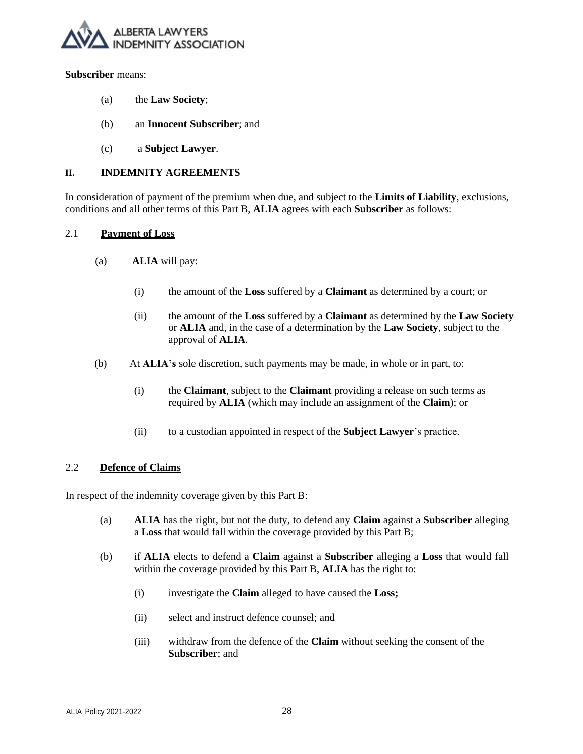

#### **Subscriber** means:

- (a) the **Law Society**;
- (b) an **Innocent Subscriber**; and
- (c) a **Subject Lawyer**.

## **II. INDEMNITY AGREEMENTS**

In consideration of payment of the premium when due, and subject to the **Limits of Liability**, exclusions, conditions and all other terms of this Part B, **ALIA** agrees with each **Subscriber** as follows:

## 2.1 **Payment of Loss**

- (a) **ALIA** will pay:
	- (i) the amount of the **Loss** suffered by a **Claimant** as determined by a court; or
	- (ii) the amount of the **Loss** suffered by a **Claimant** as determined by the **Law Society**  or **ALIA** and, in the case of a determination by the **Law Society**, subject to the approval of **ALIA**.
- (b) At **ALIA's** sole discretion, such payments may be made, in whole or in part, to:
	- (i) the **Claimant**, subject to the **Claimant** providing a release on such terms as required by **ALIA** (which may include an assignment of the **Claim**); or
	- (ii) to a custodian appointed in respect of the **Subject Lawyer**'s practice.

## 2.2 **Defence of Claims**

In respect of the indemnity coverage given by this Part B:

- (a) **ALIA** has the right, but not the duty, to defend any **Claim** against a **Subscriber** alleging a **Loss** that would fall within the coverage provided by this Part B;
- (b) if **ALIA** elects to defend a **Claim** against a **Subscriber** alleging a **Loss** that would fall within the coverage provided by this Part B, **ALIA** has the right to:
	- (i) investigate the **Claim** alleged to have caused the **Loss;**
	- (ii) select and instruct defence counsel; and
	- (iii) withdraw from the defence of the **Claim** without seeking the consent of the **Subscriber**; and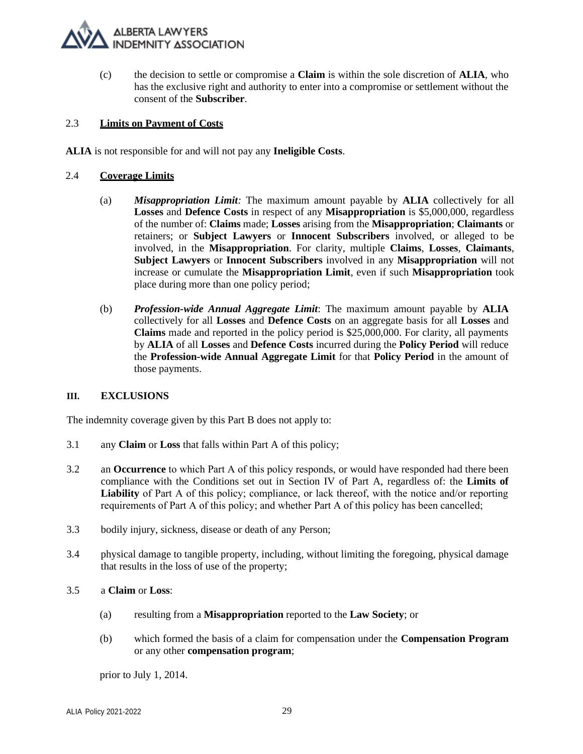(c) the decision to settle or compromise a **Claim** is within the sole discretion of **ALIA**, who has the exclusive right and authority to enter into a compromise or settlement without the consent of the **Subscriber**.

## 2.3 **Limits on Payment of Costs**

**ALIA** is not responsible for and will not pay any **Ineligible Costs**.

#### <span id="page-28-0"></span>2.4 **Coverage Limits**

- (a) *Misappropriation Limit:* The maximum amount payable by **ALIA** collectively for all **Losses** and **Defence Costs** in respect of any **Misappropriation** is \$5,000,000, regardless of the number of: **Claims** made; **Losses** arising from the **Misappropriation**; **Claimants** or retainers; or **Subject Lawyers** or **Innocent Subscribers** involved, or alleged to be involved, in the **Misappropriation**. For clarity, multiple **Claims**, **Losses**, **Claimants**, **Subject Lawyers** or **Innocent Subscribers** involved in any **Misappropriation** will not increase or cumulate the **Misappropriation Limit**, even if such **Misappropriation** took place during more than one policy period;
- <span id="page-28-1"></span>(b) *Profession-wide Annual Aggregate Limit*: The maximum amount payable by **ALIA** collectively for all **Losses** and **Defence Costs** on an aggregate basis for all **Losses** and **Claims** made and reported in the policy period is \$25,000,000. For clarity, all payments by **ALIA** of all **Losses** and **Defence Costs** incurred during the **Policy Period** will reduce the **Profession-wide Annual Aggregate Limit** for that **Policy Period** in the amount of those payments.

#### **III. EXCLUSIONS**

The indemnity coverage given by this Part B does not apply to:

- 3.1 any **Claim** or **Loss** that falls within Part A of this policy;
- 3.2 an **Occurrence** to which Part А of this policy responds, or would have responded had there been compliance with the Conditions set out in Section IV of Part A, regardless of: the **Limits of Liability** of Part А of this policy; compliance, or lack thereof, with the notice and/or reporting requirements of Part А of this policy; and whether Part А of this policy has been cancelled;
- 3.3 bodily injury, sickness, disease or death of any Person;
- 3.4 physical damage to tangible property, including, without limiting the foregoing, physical damage that results in the loss of use of the property;

#### 3.5 a **Claim** or **Loss**:

- (a) resulting from a **Misappropriation** reported to the **Law Society**; or
- (b) which formed the basis of a claim for compensation under the **Compensation Program**  or any other **compensation program**;

prior to July 1, 2014.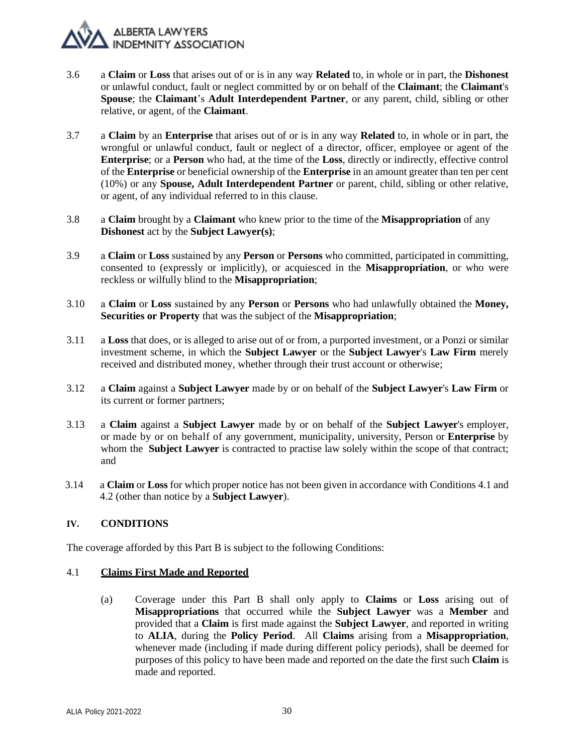- 3.6 a **Claim** or **Loss** that arises out of or is in any way **Related** to, in whole or in part, the **Dishonest**  or unlawful conduct, fault or neglect committed by or on behalf of the **Claimant**; the **Claimant**'s **Spouse**; the **Claimant**'s **Adult Interdependent Partner**, or any parent, child, sibling or other relative, or agent, of the **Claimant**.
- 3.7 a **Claim** by an **Enterprise** that arises out of or is in any way **Related** to, in whole or in part, the wrongful or unlawful conduct, fault or neglect of a director, officer, employee or agent of the **Enterprise**; or a **Person** who had, at the time of the **Loss**, directly or indirectly, effective control of the **Enterprise** or beneficial ownership of the **Enterprise** in an amount greater than ten per cent (10%) or any **Spouse, Adult Interdependent Partner** or parent, child, sibling or other relative, or agent, of any individual referred to in this clause.
- 3.8 a **Claim** brought by a **Claimant** who knew prior to the time of the **Misappropriation** of any **Dishonest** act by the **Subject Lawyer(s)**;
- 3.9 а **Claim** or **Loss** sustained by аny **Person** or **Persons** who committed, participated in committing, consented to (expressly or implicitly), or acquiesced in the **Misappropriation**, or who were reckless or wilfully blind to the **Misappropriation**;
- 3.10 а **Claim** or **Loss** sustained by аny **Person** or **Persons** who had unlawfully obtained the **Money, Securities or Property** that was the subject of the **Misappropriation**;
- 3.11 a **Loss** that does, or is alleged to arise out of or from, a purported investment, or a Ponzi or similar investment scheme, in which the **Subject Lawyer** or the **Subject Lawyer**'s **Law Firm** merely received and distributed money, whether through their trust account or otherwise;
- 3.12 a **Claim** against a **Subject Lawyer** made by or on behalf of the **Subject Lawyer**'s **Law Firm** or its current or former partners;
- 3.13 a **Claim** against a **Subject Lawyer** made by or on behalf of the **Subject Lawyer**'s employer, or made by or on behalf of any government, municipality, university, Person or **Enterprise** by whom the **Subject Lawyer** is contracted to practise law solely within the scope of that contract; and
- 3.14 a **Claim** or **Loss** for which proper notice has not been given in accordance with Conditions [4.1](#page-29-1) and [4.2](#page-30-0) (other than notice by a **Subject Lawyer**).

## <span id="page-29-0"></span>**IV. CONDITIONS**

The coverage afforded by this Part B is subject to the following Conditions:

## <span id="page-29-2"></span><span id="page-29-1"></span>4.1 **Claims First Made and Reported**

(a) Coverage under this Part B shall only apply to **Claims** or **Loss** arising out of **Misappropriations** that occurred while the **Subject Lawyer** was a **Member** and provided that a **Claim** is first made against the **Subject Lawyer**, and reported in writing to **ALIA**, during the **Policy Period**. All **Claims** arising from a **Misappropriation**, whenever made (including if made during different policy periods), shall be deemed for purposes of this policy to have been made and reported on the date the first such **Claim** is made and reported.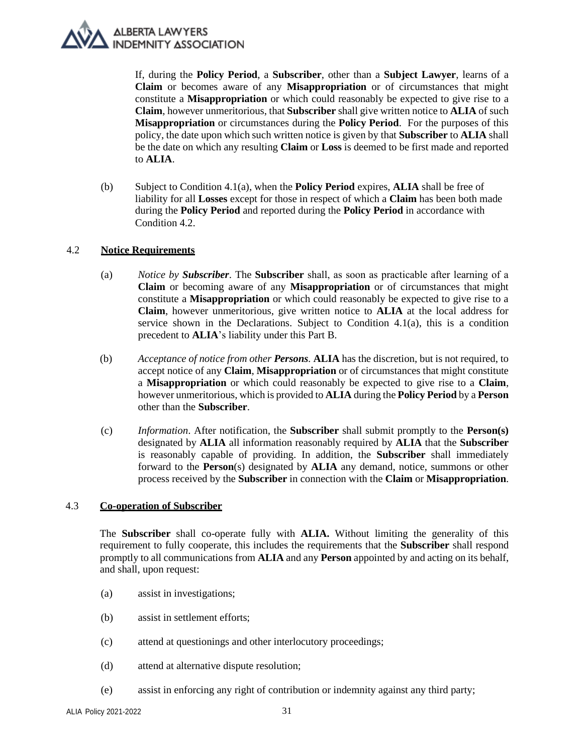If, during the **Policy Period**, a **Subscriber**, other than a **Subject Lawyer**, learns of a **Claim** or becomes aware of any **Misappropriation** or of circumstances that might constitute a **Misappropriation** or which could reasonably be expected to give rise to a **Claim**, however unmeritorious, that **Subscriber** shall give written notice to **ALIA** of such **Misappropriation** or circumstances during the **Policy Period**. For the purposes of this policy, the date upon which such written notice is given by that **Subscriber** to **ALIA** shall be the date on which any resulting **Claim** or **Loss** is deemed to be first made and reported to **ALIA**.

(b) Subject to Condition [4.1](#page-29-1)[\(a\),](#page-29-2) when the **Policy Period** expires, **ALIA** shall be free of liability for all **Losses** except for those in respect of which a **Claim** has been both made during the **Policy Period** and reported during the **Policy Period** in accordance with Condition [4.2.](#page-30-0)

## <span id="page-30-0"></span>4.2 **Notice Requirements**

- (a) *Notice by Subscriber*. The **Subscriber** shall, as soon as practicable after learning of а **Claim** or becoming aware of any **Misappropriation** or of circumstances that might constitute a **Misappropriation** or which could reasonably be expected to give rise to a **Claim**, however unmeritorious, give written notice to **ALIA** at the local address for service shown in the Declarations. Subject to Condition  $4.1(a)$ , this is a condition precedent to **ALIA**'s liability under this Part B.
- <span id="page-30-1"></span>(b) *Acceptance of notice from other Persons.* **ALIA** has the discretion, but is not required, to accept notice of any **Claim**, **Misappropriation** or of circumstances that might constitute a **Misappropriation** or which could reasonably be expected to give rise to a **Claim**, however unmeritorious, which is provided to **ALIA** during the **Policy Period** by a **Person** other than the **Subscriber**.
- (c) *Information*. After notification, the **Subscriber** shall submit promptly to the **Person(s)**  designated by **ALIA** all information reasonably required by **ALIA** that the **Subscriber** is reasonably capable of providing. In addition, the **Subscriber** shall immediately forward to the **Person**(s) designated by **ALIA** any demand, notice, summons or other process received by the **Subscriber** in connection with the **Claim** or **Misappropriation**.

## 4.3 **Co-operation of Subscriber**

The **Subscriber** shall co-operate fully with **ALIA.** Without limiting the generality of this requirement to fully cooperate, this includes the requirements that the **Subscriber** shall respond promptly to all communications from **ALIA** and any **Person** appointed by and acting on its behalf, and shall, upon request:

- (a) assist in investigations;
- (b) assist in settlement efforts;
- (c) attend at questionings and other interlocutory proceedings;
- (d) attend at alternative dispute resolution;
- (e) assist in enforcing any right of contribution or indemnity against any third party;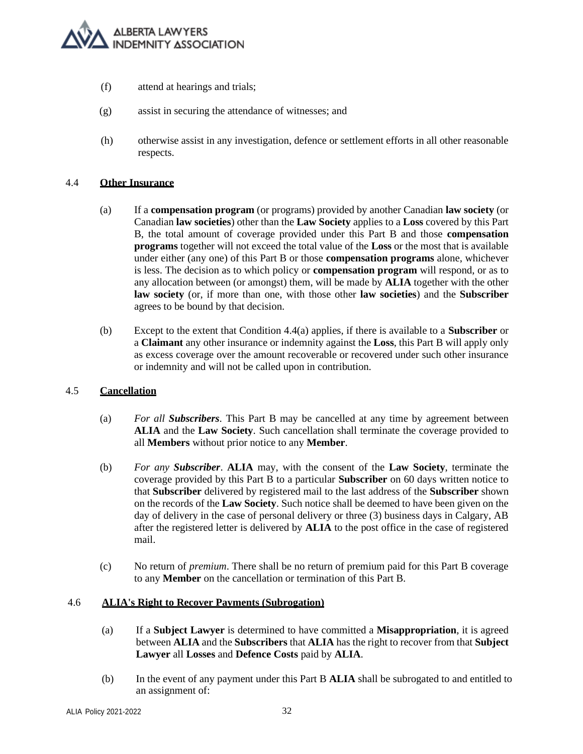

- (f) attend at hearings and trials;
- (g) assist in securing the attendance of witnesses; and
- (h) otherwise assist in any investigation, defence or settlement efforts in all other reasonable respects.

#### 4.4 **Other Insurance**

- (a) If a **compensation program** (or programs) provided by another Canadian **law society** (or Canadian **law societies**) other than the **Law Society** applies to a **Loss** covered by this Part B, the total amount of coverage provided under this Part B and those **compensation programs** together will not exceed the total value of the **Loss** or the most that is available under either (any one) of this Part B or those **compensation programs** alone, whichever is less. The decision as to which policy or **compensation program** will respond, or as to any allocation between (or amongst) them, will be made by **ALIA** together with the other **law society** (or, if more than one, with those other **law societies**) and the **Subscriber** agrees to be bound by that decision.
- (b) Except to the extent that Condition 4.4(a) applies, if there is available to a **Subscriber** or a **Claimant** any other insurance or indemnity against the **Loss**, this Part B will apply only as excess coverage over the amount recoverable or recovered under such other insurance or indemnity and will not be called upon in contribution.

## 4.5 **Cancellation**

- (a) *For all Subscribers*. This Part B may be cancelled at any time by agreement between **ALIA** and the **Law Society**. Such cancellation shall terminate the coverage provided to all **Members** without prior notice to any **Member**.
- (b) *For any Subscriber*. **ALIA** may, with the consent of the **Law Society**, terminate the coverage provided by this Part B to a particular **Subscriber** on 60 days written notice to that **Subscriber** delivered by registered mail to the last address of the **Subscriber** shown on the records of the **Law Society**. Such notice shall be deemed to have been given on the day of delivery in the case of personal delivery or three (3) business days in Calgary, AB after the registered letter is delivered by **ALIA** to the post office in the case of registered mail.
- (c) No return of *premium*. There shall be no return of premium paid for this Part B coverage to any **Member** on the cancellation or termination of this Part B.

#### 4.6 **ALIA's Right to Recover Payments (Subrogation)**

- (a) If a **Subject Lawyer** is determined to have committed a **Misappropriation**, it is agreed between **ALIA** and the **Subscribers** that **ALIA** has the right to recover from that **Subject Lawyer** all **Losses** and **Defence Costs** paid by **ALIA**.
- (b) In the event of any payment under this Part B **ALIA** shall be subrogated to and entitled to an assignment of: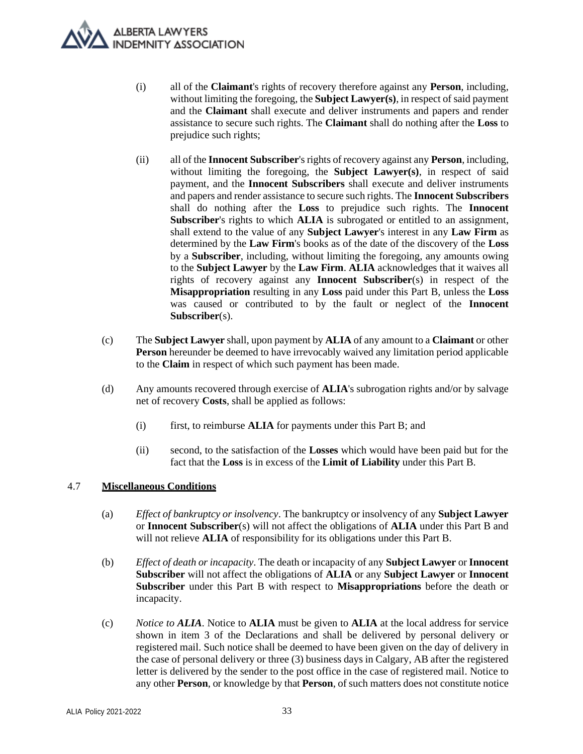

- (i) all of the **Claimant**'s rights of recovery therefore against any **Person**, including, without limiting the foregoing, the **Subject Lawyer(s)**, in respect of said payment and the **Claimant** shall execute and deliver instruments and papers and render assistance to secure such rights. The **Claimant** shall do nothing after the **Loss** to prejudice such rights;
- (ii) all of the **Innocent Subscriber**'s rights of recovery against any **Person**, including, without limiting the foregoing, the **Subject Lawyer(s)**, in respect of said payment, and the **Innocent Subscribers** shall execute and deliver instruments and papers and render assistance to secure such rights. The **Innocent Subscribers** shall do nothing after the **Loss** to prejudice such rights. The **Innocent Subscriber**'s rights to which **ALIA** is subrogated or entitled to an assignment, shall extend to the value of any **Subject Lawyer**'s interest in any **Law Firm** as determined by the **Law Firm**'s books as of the date of the discovery of the **Loss**  by a **Subscriber**, including, without limiting the foregoing, any amounts owing to the **Subject Lawyer** by the **Law Firm**. **ALIA** acknowledges that it waives all rights of recovery against any **Innocent Subscriber**(s) in respect of the **Misappropriation** resulting in any **Loss** paid under this Part B, unless the **Loss**  was caused or contributed to by the fault or neglect of the **Innocent Subscriber**(s).
- (c) The **Subject Lawyer** shall, upon payment by **ALIA** of any amount to a **Claimant** or other **Person** hereunder be deemed to have irrevocably waived any limitation period applicable to the **Claim** in respect of which such payment has been made.
- (d) Any amounts recovered through exercise of **ALIA**'s subrogation rights and/or by salvage net of recovery **Costs**, shall be applied as follows:
	- (i) first, to reimburse **ALIA** for payments under this Part B; and
	- (ii) second, to the satisfaction of the **Losses** which would have been paid but for the fact that the **Loss** is in excess of the **Limit of Liability** under this Part B.

## 4.7 **Miscellaneous Conditions**

- (a) *Effect of bankruptcy or insolvency*. The bankruptcy or insolvency of any **Subject Lawyer**  or **Innocent Subscriber**(s) will not affect the obligations of **ALIA** under this Part B and will not relieve **ALIA** of responsibility for its obligations under this Part B.
- (b) *Effect of death or incapacity*. The death or incapacity of any **Subject Lawyer** or **Innocent Subscriber** will not affect the obligations of **ALIA** or any **Subject Lawyer** or **Innocent Subscriber** under this Part B with respect to **Misappropriations** before the death or incapacity.
- (c) *Notice to ALIA*. Notice to **ALIA** must be given to **ALIA** at the local address for service shown in item 3 of the Declarations and shall be delivered by personal delivery or registered mail. Such notice shall be deemed to have been given on the day of delivery in the case of personal delivery or three (3) business days in Calgary, AB after the registered letter is delivered by the sender to the post office in the case of registered mail. Notice to any other **Person**, or knowledge by that **Person**, of such matters does not constitute notice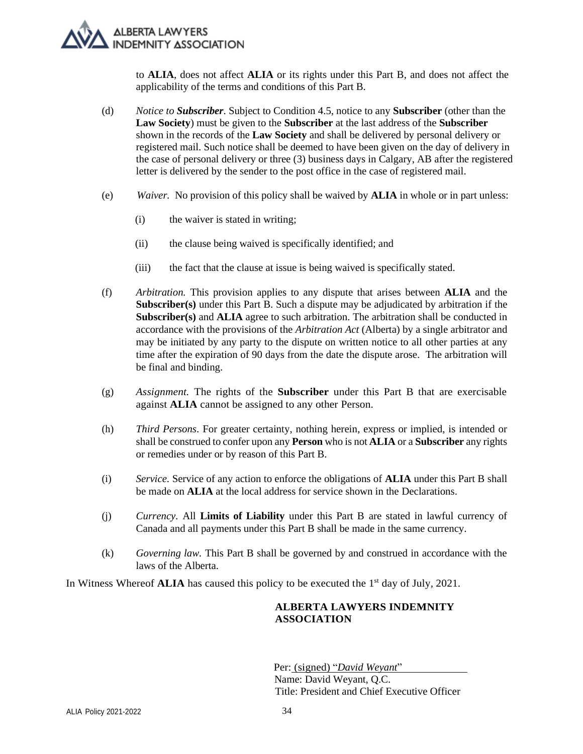to **ALIA**, does not affect **ALIA** or its rights under this Part B, and does not affect the applicability of the terms and conditions of this Part B.

- (d) *Notice to Subscriber*. Subject to Condition 4.5, notice to any **Subscriber** (other than the **Law Society**) must be given to the **Subscriber** at the last address of the **Subscriber** shown in the records of the **Law Society** and shall be delivered by personal delivery or registered mail. Such notice shall be deemed to have been given on the day of delivery in the case of personal delivery or three (3) business days in Calgary, AB after the registered letter is delivered by the sender to the post office in the case of registered mail.
- (e) *Waiver.* No provision of this policy shall be waived by **ALIA** in whole or in part unless:
	- (i) the waiver is stated in writing;
	- (ii) the clause being waived is specifically identified; and
	- (iii) the fact that the clause at issue is being waived is specifically stated.
- (f) *Arbitration.* This provision applies to any dispute that arises between **ALIA** and the **Subscriber(s)** under this Part B. Such a dispute may be adjudicated by arbitration if the **Subscriber(s)** and **ALIA** agree to such arbitration. The arbitration shall be conducted in accordance with the provisions of the *Arbitration Act* (Alberta) by a single arbitrator and may be initiated by any party to the dispute on written notice to all other parties at any time after the expiration of 90 days from the date the dispute arose. The arbitration will be final and binding.
- (g) *Assignment.* The rights of the **Subscriber** under this Part B that are exercisable against **ALIA** cannot be assigned to any other Person.
- (h) *Third Persons*. For greater certainty, nothing herein, express or implied, is intended or shall be construed to confer upon any **Person** who is not **ALIA** or a **Subscriber** any rights or remedies under or by reason of this Part B.
- (i) *Service.* Service of any action to enforce the obligations of **ALIA** under this Part B shall be made on **ALIA** at the local address for service shown in the Declarations.
- (j) *Currency.* All **Limits of Liability** under this Part B are stated in lawful currency of Canada and all payments under this Part B shall be made in the same currency.
- (k) *Governing law.* This Part B shall be governed by and construed in accordance with the laws of the Alberta.

In Witness Whereof **ALIA** has caused this policy to be executed the 1st day of July*,* 2021.

## **ALBERTA LAWYERS INDEMNITY ASSOCIATION**

 Per: (signed) "*David Weyant*" Name: David Weyant, Q.C. Title: President and Chief Executive Officer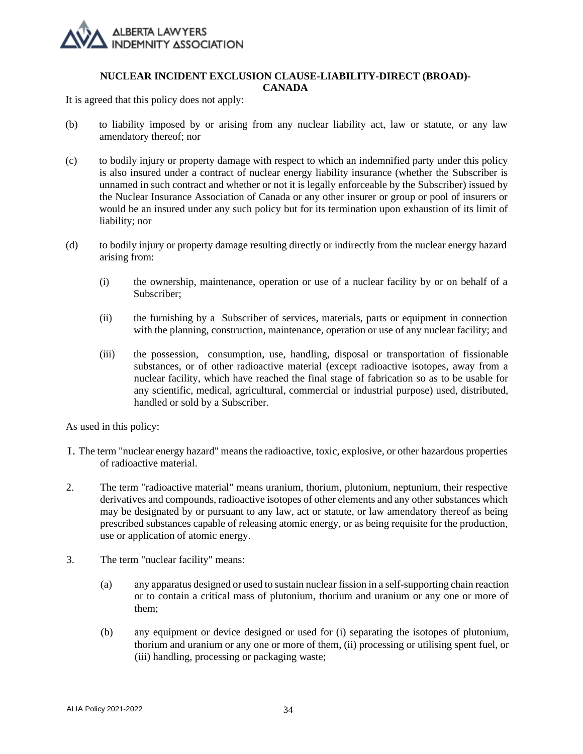

#### **NUCLEAR INCIDENT EXCLUSION CLAUSE-LIABILITY-DIRECT (BROAD)- CANADA**

It is agreed that this policy does not apply:

- (b) to liability imposed by or arising from any nuclear liability act, law or statute, or any law amendatory thereof; nor
- (c) to bodily injury or property damage with respect to which an indemnified party under this policy is also insured under a contract of nuclear energy liability insurance (whether the Subscriber is unnamed in such contract and whether or not it is legally enforceable by the Subscriber) issued by the Nuclear Insurance Association of Canada or any other insurer or group or pool of insurers or would be an insured under any such policy but for its termination upon exhaustion of its limit of liability; nor
- (d) to bodily injury or property damage resulting directly or indirectly from the nuclear energy hazard arising from:
	- (i) the ownership, maintenance, operation or use of a nuclear facility by or on behalf of a Subscriber;
	- (ii) the furnishing by a Subscriber of services, materials, parts or equipment in connection with the planning, construction, maintenance, operation or use of any nuclear facility; and
	- (iii) the possession, consumption, use, handling, disposal or transportation of fissionable substances, or of other radioactive material (except radioactive isotopes, away from a nuclear facility, which have reached the final stage of fabrication so as to be usable for any scientific, medical, agricultural, commercial or industrial purpose) used, distributed, handled or sold by a Subscriber.

As used in this policy:

- I. The term "nuclear energy hazard" means the radioactive, toxic, explosive, or other hazardous properties of radioactive material.
- 2. The term "radioactive material" means uranium, thorium, plutonium, neptunium, their respective derivatives and compounds, radioactive isotopes of other elements and any other substances which may be designated by or pursuant to any law, act or statute, or law amendatory thereof as being prescribed substances capable of releasing atomic energy, or as being requisite for the production, use or application of atomic energy.
- 3. The term "nuclear facility" means:
	- (a) any apparatus designed or used to sustain nuclear fission in a self-supporting chain reaction or to contain a critical mass of plutonium, thorium and uranium or any one or more of them;
	- (b) any equipment or device designed or used for (i) separating the isotopes of plutonium, thorium and uranium or any one or more of them, (ii) processing or utilising spent fuel, or (iii) handling, processing or packaging waste;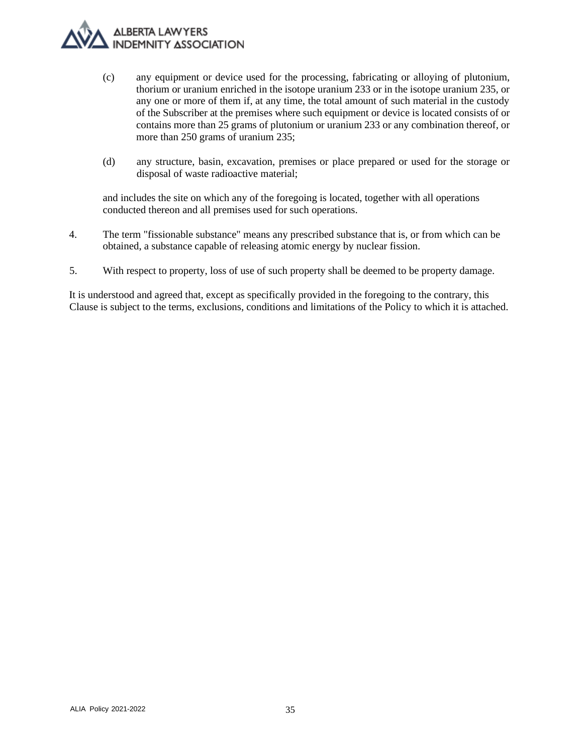- (c) any equipment or device used for the processing, fabricating or alloying of plutonium, thorium or uranium enriched in the isotope uranium 233 or in the isotope uranium 235, or any one or more of them if, at any time, the total amount of such material in the custody of the Subscriber at the premises where such equipment or device is located consists of or contains more than 25 grams of plutonium or uranium 233 or any combination thereof, or more than 250 grams of uranium 235;
- (d) any structure, basin, excavation, premises or place prepared or used for the storage or disposal of waste radioactive material;

and includes the site on which any of the foregoing is located, together with all operations conducted thereon and all premises used for such operations.

- 4. The term "fissionable substance" means any prescribed substance that is, or from which can be obtained, a substance capable of releasing atomic energy by nuclear fission.
- 5. With respect to property, loss of use of such property shall be deemed to be property damage.

It is understood and agreed that, except as specifically provided in the foregoing to the contrary, this Clause is subject to the terms, exclusions, conditions and limitations of the Policy to which it is attached.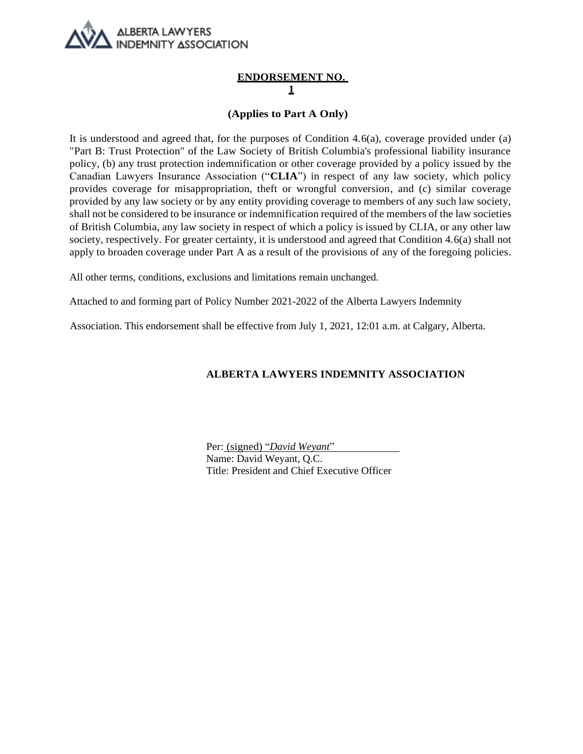

## **ENDORSEMENT NO. 1**

## **(Applies to Part A Only)**

It is understood and agreed that, for the purposes of Condition  $4.6(a)$ , coverage provided under  $(a)$ "Part B: Trust Protection" of the Law Society of British Columbia's professional liability insurance policy, (b) any trust protection indemnification or other coverage provided by a policy issued by the Canadian Lawyers Insurance Association ("**CLIA**") in respect of any law society, which policy provides coverage for misappropriation, theft or wrongful conversion, and (c) similar coverage provided by any law society or by any entity providing coverage to members of any such law society, shall not be considered to be insurance or indemnification required of the members of the law societies of British Columbia, any law society in respect of which a policy is issued by CLIA, or any other law society, respectively. For greater certainty, it is understood and agreed that Condition 4.6(a) shall not apply to broaden coverage under Part A as a result of the provisions of any of the foregoing policies.

All other terms, conditions, exclusions and limitations remain unchanged.

Attached to and forming part of Policy Number 2021-2022 of the Alberta Lawyers Indemnity

Association. This endorsement shall be effective from July 1, 2021, 12:01 a.m. at Calgary, Alberta.

## **ALBERTA LAWYERS INDEMNITY ASSOCIATION**

Per: (signed) "*David Weyant*" Name: David Weyant, Q.C. Title: President and Chief Executive Officer